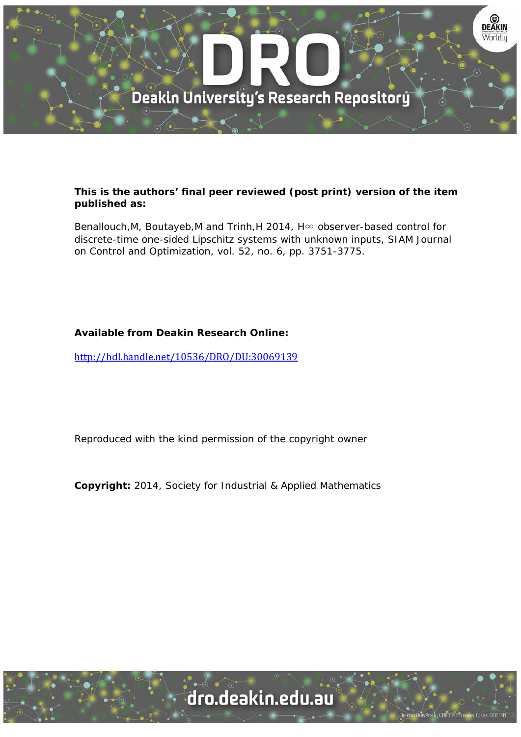

## **This is the authors' final peer reviewed (post print) version of the item published as:**

Benallouch, M, Boutayeb, M and Trinh, H 2014, H∞ observer-based control for discrete-time one-sided Lipschitz systems with unknown inputs, SIAM Journal on Control and Optimization, vol. 52, no. 6, pp. 3751-3775.

# **Available from Deakin Research Online:**

http://hdl.handle.net/10536/DRO/DU:30069139

Reproduced with the kind permission of the copyright owner

**Copyright:** 2014, Society for Industrial & Applied Mathematics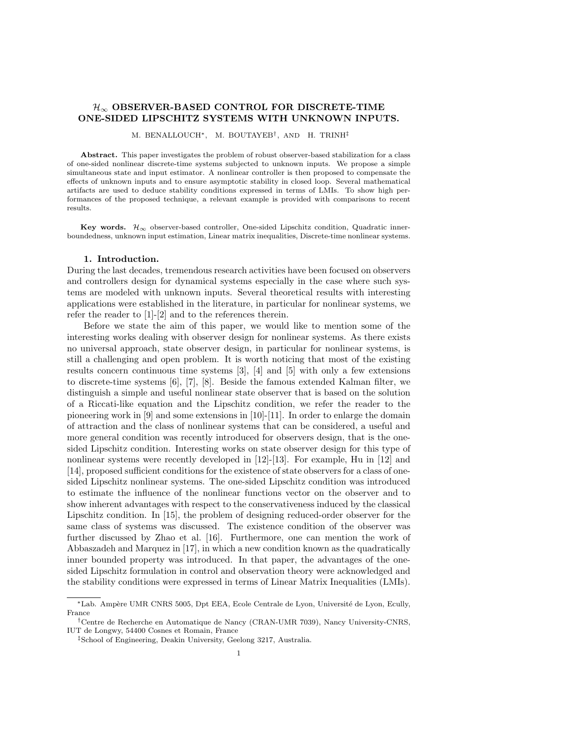## $\mathcal{H}_{\infty}$  OBSERVER-BASED CONTROL FOR DISCRETE-TIME ONE-SIDED LIPSCHITZ SYSTEMS WITH UNKNOWN INPUTS.

M. BENALLOUCH∗, M. BOUTAYEB† , AND H. TRINH‡

Abstract. This paper investigates the problem of robust observer-based stabilization for a class of one-sided nonlinear discrete-time systems subjected to unknown inputs. We propose a simple simultaneous state and input estimator. A nonlinear controller is then proposed to compensate the effects of unknown inputs and to ensure asymptotic stability in closed loop. Several mathematical artifacts are used to deduce stability conditions expressed in terms of LMIs. To show high performances of the proposed technique, a relevant example is provided with comparisons to recent results.

Key words.  $\mathcal{H}_{\infty}$  observer-based controller, One-sided Lipschitz condition, Quadratic innerboundedness, unknown input estimation, Linear matrix inequalities, Discrete-time nonlinear systems.

#### 1. Introduction.

During the last decades, tremendous research activities have been focused on observers and controllers design for dynamical systems especially in the case where such systems are modeled with unknown inputs. Several theoretical results with interesting applications were established in the literature, in particular for nonlinear systems, we refer the reader to [1]-[2] and to the references therein.

Before we state the aim of this paper, we would like to mention some of the interesting works dealing with observer design for nonlinear systems. As there exists no universal approach, state observer design, in particular for nonlinear systems, is still a challenging and open problem. It is worth noticing that most of the existing results concern continuous time systems [3], [4] and [5] with only a few extensions to discrete-time systems [6], [7], [8]. Beside the famous extended Kalman filter, we distinguish a simple and useful nonlinear state observer that is based on the solution of a Riccati-like equation and the Lipschitz condition, we refer the reader to the pioneering work in [9] and some extensions in [10]-[11]. In order to enlarge the domain of attraction and the class of nonlinear systems that can be considered, a useful and more general condition was recently introduced for observers design, that is the onesided Lipschitz condition. Interesting works on state observer design for this type of nonlinear systems were recently developed in [12]-[13]. For example, Hu in [12] and [14], proposed sufficient conditions for the existence of state observers for a class of onesided Lipschitz nonlinear systems. The one-sided Lipschitz condition was introduced to estimate the influence of the nonlinear functions vector on the observer and to show inherent advantages with respect to the conservativeness induced by the classical Lipschitz condition. In [15], the problem of designing reduced-order observer for the same class of systems was discussed. The existence condition of the observer was further discussed by Zhao et al. [16]. Furthermore, one can mention the work of Abbaszadeh and Marquez in [17], in which a new condition known as the quadratically inner bounded property was introduced. In that paper, the advantages of the onesided Lipschitz formulation in control and observation theory were acknowledged and the stability conditions were expressed in terms of Linear Matrix Inequalities (LMIs).

<sup>∗</sup>Lab. Amp`ere UMR CNRS 5005, Dpt EEA, Ecole Centrale de Lyon, Universit´e de Lyon, Ecully, France

<sup>†</sup>Centre de Recherche en Automatique de Nancy (CRAN-UMR 7039), Nancy University-CNRS, IUT de Longwy, 54400 Cosnes et Romain, France

<sup>‡</sup>School of Engineering, Deakin University, Geelong 3217, Australia.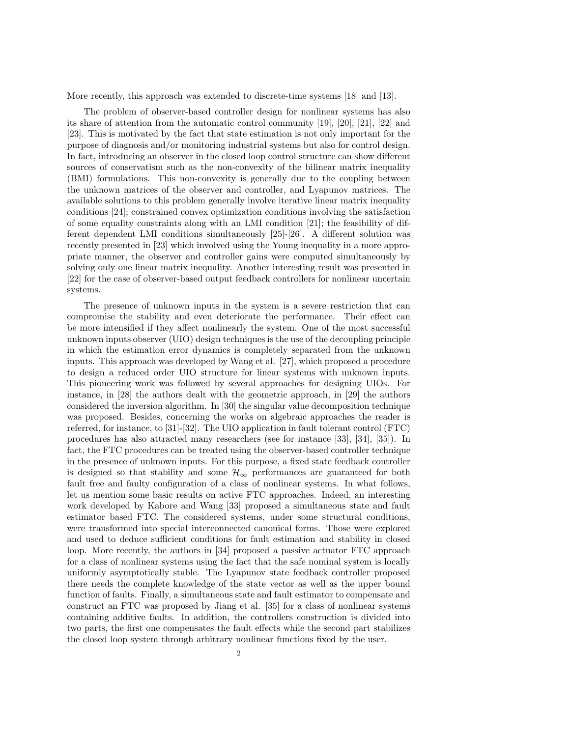More recently, this approach was extended to discrete-time systems [18] and [13].

The problem of observer-based controller design for nonlinear systems has also its share of attention from the automatic control community [19], [20], [21], [22] and [23]. This is motivated by the fact that state estimation is not only important for the purpose of diagnosis and/or monitoring industrial systems but also for control design. In fact, introducing an observer in the closed loop control structure can show different sources of conservatism such as the non-convexity of the bilinear matrix inequality (BMI) formulations. This non-convexity is generally due to the coupling between the unknown matrices of the observer and controller, and Lyapunov matrices. The available solutions to this problem generally involve iterative linear matrix inequality conditions [24]; constrained convex optimization conditions involving the satisfaction of some equality constraints along with an LMI condition [21]; the feasibility of different dependent LMI conditions simultaneously [25]-[26]. A different solution was recently presented in [23] which involved using the Young inequality in a more appropriate manner, the observer and controller gains were computed simultaneously by solving only one linear matrix inequality. Another interesting result was presented in [22] for the case of observer-based output feedback controllers for nonlinear uncertain systems.

The presence of unknown inputs in the system is a severe restriction that can compromise the stability and even deteriorate the performance. Their effect can be more intensified if they affect nonlinearly the system. One of the most successful unknown inputs observer (UIO) design techniques is the use of the decoupling principle in which the estimation error dynamics is completely separated from the unknown inputs. This approach was developed by Wang et al. [27], which proposed a procedure to design a reduced order UIO structure for linear systems with unknown inputs. This pioneering work was followed by several approaches for designing UIOs. For instance, in [28] the authors dealt with the geometric approach, in [29] the authors considered the inversion algorithm. In [30] the singular value decomposition technique was proposed. Besides, concerning the works on algebraic approaches the reader is referred, for instance, to [31]-[32]. The UIO application in fault tolerant control (FTC) procedures has also attracted many researchers (see for instance [33], [34], [35]). In fact, the FTC procedures can be treated using the observer-based controller technique in the presence of unknown inputs. For this purpose, a fixed state feedback controller is designed so that stability and some  $\mathcal{H}_{\infty}$  performances are guaranteed for both fault free and faulty configuration of a class of nonlinear systems. In what follows, let us mention some basic results on active FTC approaches. Indeed, an interesting work developed by Kabore and Wang [33] proposed a simultaneous state and fault estimator based FTC. The considered systems, under some structural conditions, were transformed into special interconnected canonical forms. Those were explored and used to deduce sufficient conditions for fault estimation and stability in closed loop. More recently, the authors in [34] proposed a passive actuator FTC approach for a class of nonlinear systems using the fact that the safe nominal system is locally uniformly asymptotically stable. The Lyapunov state feedback controller proposed there needs the complete knowledge of the state vector as well as the upper bound function of faults. Finally, a simultaneous state and fault estimator to compensate and construct an FTC was proposed by Jiang et al. [35] for a class of nonlinear systems containing additive faults. In addition, the controllers construction is divided into two parts, the first one compensates the fault effects while the second part stabilizes the closed loop system through arbitrary nonlinear functions fixed by the user.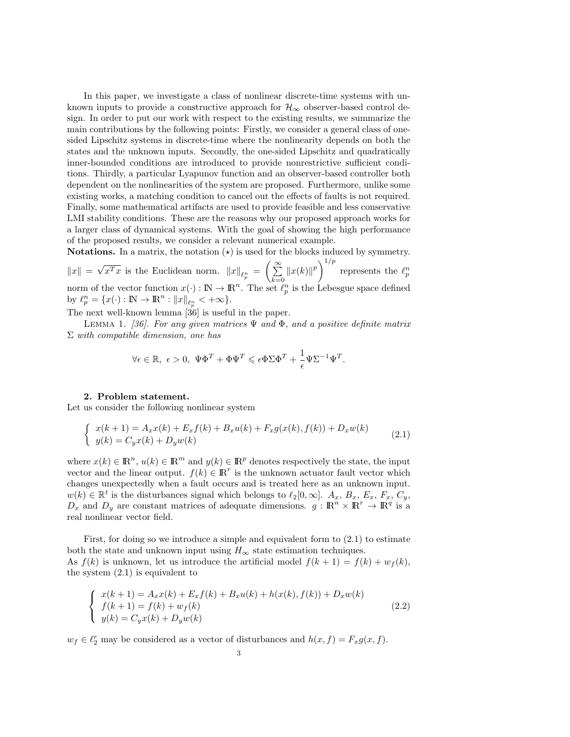In this paper, we investigate a class of nonlinear discrete-time systems with unknown inputs to provide a constructive approach for  $\mathcal{H}_{\infty}$  observer-based control design. In order to put our work with respect to the existing results, we summarize the main contributions by the following points: Firstly, we consider a general class of onesided Lipschitz systems in discrete-time where the nonlinearity depends on both the states and the unknown inputs. Secondly, the one-sided Lipschitz and quadratically inner-bounded conditions are introduced to provide nonrestrictive sufficient conditions. Thirdly, a particular Lyapunov function and an observer-based controller both dependent on the nonlinearities of the system are proposed. Furthermore, unlike some existing works, a matching condition to cancel out the effects of faults is not required. Finally, some mathematical artifacts are used to provide feasible and less conservative LMI stability conditions. These are the reasons why our proposed approach works for a larger class of dynamical systems. With the goal of showing the high performance of the proposed results, we consider a relevant numerical example.

**Notations.** In a matrix, the notation  $\star$  is used for the blocks induced by symmetry.  $\|x\| =$ √  $\overline{x^Tx}$  is the Euclidean norm.  $||x||_{\ell_p^n} = \left(\sum_{i=1}^{\infty}$  $k=0$  $||x(k)||^p$  represents the  $\ell_p^n$ norm of the vector function  $x(\cdot): \mathbb{N} \to \mathbb{R}^n$ . The set  $\ell_p^n$  is the Lebesgue space defined by  $\ell_p^n = \{x(\cdot) : \mathbb{N} \to \mathbb{R}^n : ||x||_{\ell_p^n} < +\infty\}.$ 

The next well-known lemma  $[36]$  is useful in the paper.

LEMMA 1. [36]. For any given matrices  $\Psi$  and  $\Phi$ , and a positive definite matrix  $\Sigma$  with compatible dimension, one has

$$
\forall \epsilon \in \mathbb{R}, \ \epsilon > 0, \ \Psi \Phi^T + \Phi \Psi^T \leqslant \epsilon \Phi \Sigma \Phi^T + \frac{1}{\epsilon} \Psi \Sigma^{-1} \Psi^T.
$$

### 2. Problem statement.

Let us consider the following nonlinear system

$$
\begin{cases}\nx(k+1) = A_x x(k) + E_x f(k) + B_x u(k) + F_x g(x(k), f(k)) + D_x w(k) \\
y(k) = C_y x(k) + D_y w(k)\n\end{cases} (2.1)
$$

where  $x(k) \in \mathbb{R}^n$ ,  $u(k) \in \mathbb{R}^m$  and  $y(k) \in \mathbb{R}^p$  denotes respectively the state, the input vector and the linear output.  $f(k) \in \mathbb{R}^r$  is the unknown actuator fault vector which changes unexpectedly when a fault occurs and is treated here as an unknown input.  $w(k) \in \mathbb{R}^t$  is the disturbances signal which belongs to  $\ell_2[0,\infty]$ .  $A_x, B_x, E_x, F_x, C_y$ ,  $D_x$  and  $D_y$  are constant matrices of adequate dimensions.  $g: \mathbb{R}^n \times \mathbb{R}^r \to \mathbb{R}^q$  is a real nonlinear vector field.

First, for doing so we introduce a simple and equivalent form to (2.1) to estimate both the state and unknown input using  $H_{\infty}$  state estimation techniques. As  $f(k)$  is unknown, let us introduce the artificial model  $f(k+1) = f(k) + w_f(k)$ , the system (2.1) is equivalent to

$$
\begin{cases}\nx(k+1) = A_x x(k) + E_x f(k) + B_x u(k) + h(x(k), f(k)) + D_x w(k) \\
f(k+1) = f(k) + w_f(k) \\
y(k) = C_y x(k) + D_y w(k)\n\end{cases}
$$
\n(2.2)

 $w_f \in \ell_2^r$  may be considered as a vector of disturbances and  $h(x, f) = F_x g(x, f)$ .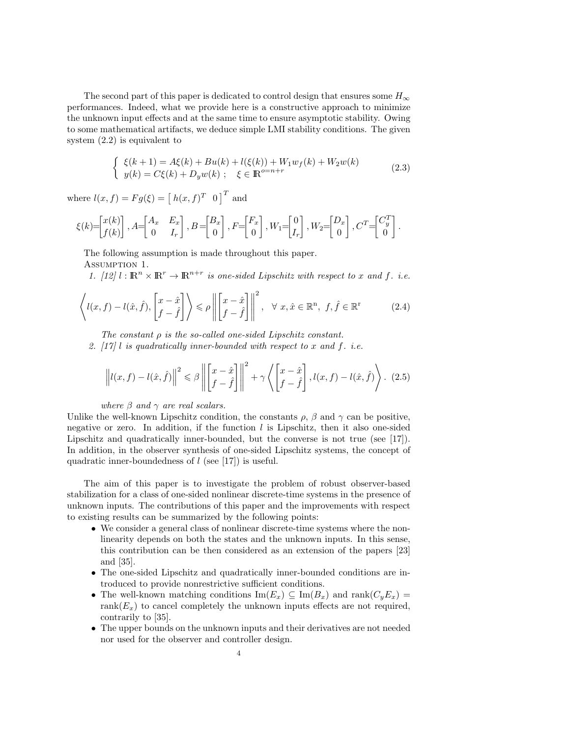The second part of this paper is dedicated to control design that ensures some  $H_{\infty}$ performances. Indeed, what we provide here is a constructive approach to minimize the unknown input effects and at the same time to ensure asymptotic stability. Owing to some mathematical artifacts, we deduce simple LMI stability conditions. The given system (2.2) is equivalent to

$$
\begin{cases} \xi(k+1) = A\xi(k) + Bu(k) + l(\xi(k)) + W_1 w_f(k) + W_2 w(k) \\ y(k) = C\xi(k) + D_y w(k) ; \quad \xi \in \mathbb{R}^{o=n+r} \end{cases}
$$
 (2.3)

.

where  $l(x, f) = Fg(\xi) = [h(x, f)^T \ 0]^T$  and

$$
\xi(k) = \begin{bmatrix} x(k) \\ f(k) \end{bmatrix}, A = \begin{bmatrix} A_x & E_x \\ 0 & I_r \end{bmatrix}, B = \begin{bmatrix} B_x \\ 0 \end{bmatrix}, F = \begin{bmatrix} F_x \\ 0 \end{bmatrix}, W_1 = \begin{bmatrix} 0 \\ I_r \end{bmatrix}, W_2 = \begin{bmatrix} D_x \\ 0 \end{bmatrix}, C^T = \begin{bmatrix} C_y^T \\ 0 \end{bmatrix}
$$

The following assumption is made throughout this paper.

Assumption 1.

1. [12]  $l : \mathbb{R}^n \times \mathbb{R}^r \to \mathbb{R}^{n+r}$  is one-sided Lipschitz with respect to x and f. i.e.

$$
\left\langle l(x,f) - l(\hat{x},\hat{f}), \begin{bmatrix} x - \hat{x} \\ f - \hat{f} \end{bmatrix} \right\rangle \le \rho \left\| \begin{bmatrix} x - \hat{x} \\ f - \hat{f} \end{bmatrix} \right\|^2, \quad \forall \ x, \hat{x} \in \mathbb{R}^n, \ f, \hat{f} \in \mathbb{R}^r \tag{2.4}
$$

The constant  $\rho$  is the so-called one-sided Lipschitz constant. 2.  $[17]$  l is quadratically inner-bounded with respect to x and f. i.e.

$$
\left\|l(x,f) - l(\hat{x},\hat{f})\right\|^2 \leq \beta \left\|\begin{bmatrix}x-\hat{x} \\ f-\hat{f}\end{bmatrix}\right\|^2 + \gamma \left\langle\begin{bmatrix}x-\hat{x} \\ f-\hat{f}\end{bmatrix}, l(x,f) - l(\hat{x},\hat{f})\right\rangle. (2.5)
$$

where  $\beta$  and  $\gamma$  are real scalars.

Unlike the well-known Lipschitz condition, the constants  $\rho$ ,  $\beta$  and  $\gamma$  can be positive, negative or zero. In addition, if the function  $l$  is Lipschitz, then it also one-sided Lipschitz and quadratically inner-bounded, but the converse is not true (see [17]). In addition, in the observer synthesis of one-sided Lipschitz systems, the concept of quadratic inner-boundedness of  $l$  (see [17]) is useful.

The aim of this paper is to investigate the problem of robust observer-based stabilization for a class of one-sided nonlinear discrete-time systems in the presence of unknown inputs. The contributions of this paper and the improvements with respect to existing results can be summarized by the following points:

- We consider a general class of nonlinear discrete-time systems where the nonlinearity depends on both the states and the unknown inputs. In this sense, this contribution can be then considered as an extension of the papers [23] and [35].
- The one-sided Lipschitz and quadratically inner-bounded conditions are introduced to provide nonrestrictive sufficient conditions.
- The well-known matching conditions  $\text{Im}(E_x) \subseteq \text{Im}(B_x)$  and  $\text{rank}(C_yE_x) =$ rank( $E_x$ ) to cancel completely the unknown inputs effects are not required, contrarily to [35].
- The upper bounds on the unknown inputs and their derivatives are not needed nor used for the observer and controller design.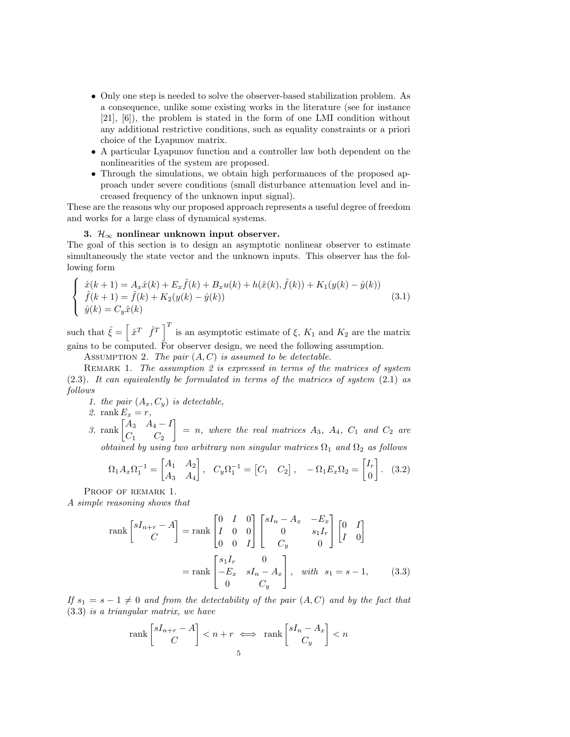- Only one step is needed to solve the observer-based stabilization problem. As a consequence, unlike some existing works in the literature (see for instance [21], [6]), the problem is stated in the form of one LMI condition without any additional restrictive conditions, such as equality constraints or a priori choice of the Lyapunov matrix.
- A particular Lyapunov function and a controller law both dependent on the nonlinearities of the system are proposed.
- Through the simulations, we obtain high performances of the proposed approach under severe conditions (small disturbance attenuation level and increased frequency of the unknown input signal).

These are the reasons why our proposed approach represents a useful degree of freedom and works for a large class of dynamical systems.

## 3.  $\mathcal{H}_{\infty}$  nonlinear unknown input observer.

The goal of this section is to design an asymptotic nonlinear observer to estimate simultaneously the state vector and the unknown inputs. This observer has the following form

$$
\begin{cases}\n\hat{x}(k+1) = A_x \hat{x}(k) + E_x \hat{f}(k) + B_x u(k) + h(\hat{x}(k), \hat{f}(k)) + K_1(y(k) - \hat{y}(k)) \\
\hat{f}(k+1) = \hat{f}(k) + K_2(y(k) - \hat{y}(k)) \\
\hat{y}(k) = C_y \hat{x}(k)\n\end{cases}
$$
\n(3.1)

such that  $\hat{\xi} = \left[\hat{x}^T \hat{f}^T\right]^T$  is an asymptotic estimate of  $\xi$ ,  $K_1$  and  $K_2$  are the matrix gains to be computed. For observer design, we need the following assumption.

ASSUMPTION 2. The pair  $(A, C)$  is assumed to be detectable.

REMARK 1. The assumption 2 is expressed in terms of the matrices of system (2.3). It can equivalently be formulated in terms of the matrices of system (2.1) as follows

1. the pair  $(A_x, C_y)$  is detectable,

2. rank  $E_x = r$ ,

3. rank  $\begin{bmatrix} A_3 & A_4 - I \\ C & 0 \end{bmatrix}$  $C_1$   $C_2$  $\Big] = n$ , where the real matrices  $A_3$ ,  $A_4$ ,  $C_1$  and  $C_2$  are obtained by using two arbitrary non singular matrices  $\Omega_1$  and  $\Omega_2$  as follows

$$
\Omega_1 A_x \Omega_1^{-1} = \begin{bmatrix} A_1 & A_2 \\ A_3 & A_4 \end{bmatrix}, \quad C_y \Omega_1^{-1} = \begin{bmatrix} C_1 & C_2 \end{bmatrix}, \quad -\Omega_1 E_x \Omega_2 = \begin{bmatrix} I_r \\ 0 \end{bmatrix}. \tag{3.2}
$$

PROOF OF REMARK 1.

A simple reasoning shows that

$$
\text{rank}\begin{bmatrix} sI_{n+r} - A \\ C \end{bmatrix} = \text{rank}\begin{bmatrix} 0 & I & 0 \\ I & 0 & 0 \\ 0 & 0 & I \end{bmatrix} \begin{bmatrix} sI_n - A_x & -E_x \\ 0 & s_1I_r \\ C_y & 0 \end{bmatrix} \begin{bmatrix} 0 & I \\ I & 0 \end{bmatrix}
$$

$$
= \text{rank}\begin{bmatrix} s_1I_r & 0 \\ -E_x & sI_n - A_x \\ 0 & C_y \end{bmatrix}, \quad \text{with} \quad s_1 = s - 1,\tag{3.3}
$$

If  $s_1 = s - 1 \neq 0$  and from the detectability of the pair  $(A, C)$  and by the fact that (3.3) is a triangular matrix, we have

$$
\operatorname{rank}\begin{bmatrix} sI_{n+r} - A \\ C \end{bmatrix} < n + r \iff \operatorname{rank}\begin{bmatrix} sI_n - A_x \\ C_y \end{bmatrix} < n
$$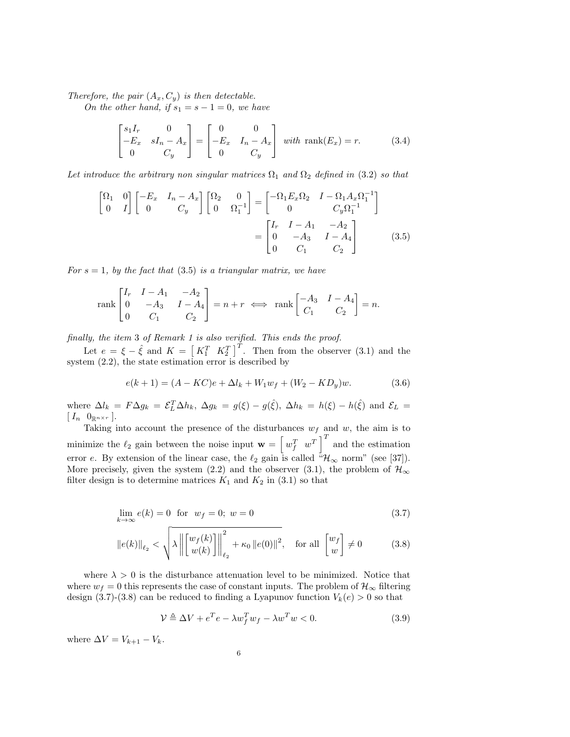Therefore, the pair  $(A_x, C_y)$  is then detectable.

On the other hand, if  $s_1 = s - 1 = 0$ , we have

$$
\begin{bmatrix} s_1 I_r & 0 \ -E_x & sI_n - A_x \ 0 & C_y \end{bmatrix} = \begin{bmatrix} 0 & 0 \ -E_x & I_n - A_x \ 0 & C_y \end{bmatrix} \text{ with } \text{rank}(E_x) = r. \tag{3.4}
$$

Let introduce the arbitrary non singular matrices  $\Omega_1$  and  $\Omega_2$  defined in (3.2) so that

$$
\begin{bmatrix} \Omega_1 & 0 \\ 0 & I \end{bmatrix} \begin{bmatrix} -E_x & I_n - A_x \\ 0 & C_y \end{bmatrix} \begin{bmatrix} \Omega_2 & 0 \\ 0 & \Omega_1^{-1} \end{bmatrix} = \begin{bmatrix} -\Omega_1 E_x \Omega_2 & I - \Omega_1 A_x \Omega_1^{-1} \\ 0 & C_y \Omega_1^{-1} \end{bmatrix} = \begin{bmatrix} I_r & I - A_1 & -A_2 \\ 0 & -A_3 & I - A_4 \\ 0 & C_1 & C_2 \end{bmatrix}
$$
(3.5)

For  $s = 1$ , by the fact that (3.5) is a triangular matrix, we have

$$
\operatorname{rank}\begin{bmatrix} I_r & I - A_1 & -A_2 \\ 0 & -A_3 & I - A_4 \\ 0 & C_1 & C_2 \end{bmatrix} = n + r \iff \operatorname{rank}\begin{bmatrix} -A_3 & I - A_4 \\ C_1 & C_2 \end{bmatrix} = n.
$$

finally, the item 3 of Remark 1 is also verified. This ends the proof.

Let  $e = \xi - \hat{\xi}$  and  $K = \begin{bmatrix} K_1^T & K_2^T \end{bmatrix}^T$ . Then from the observer (3.1) and the system (2.2), the state estimation error is described by

$$
e(k+1) = (A - KC)e + \Delta l_k + W_1 w_f + (W_2 - KD_y)w.
$$
 (3.6)

where  $\Delta l_k = F \Delta g_k = \mathcal{E}_L^T \Delta h_k$ ,  $\Delta g_k = g(\xi) - g(\hat{\xi})$ ,  $\Delta h_k = h(\xi) - h(\hat{\xi})$  and  $\mathcal{E}_L =$  $[\begin{array}{cc} I_n & 0_{\mathbb{R}^{n \times r}} \end{array}].$ 

Taking into account the presence of the disturbances  $w_f$  and w, the aim is to minimize the  $\ell_2$  gain between the noise input  $\mathbf{w} = \begin{bmatrix} w_f^T & w^T \end{bmatrix}^T$  and the estimation error e. By extension of the linear case, the  $\ell_2$  gain is called  ${}^{\tilde{a}}\mathcal{H}_{\infty}$  norm" (see [37]). More precisely, given the system (2.2) and the observer (3.1), the problem of  $\mathcal{H}_{\infty}$ filter design is to determine matrices  $K_1$  and  $K_2$  in (3.1) so that

$$
\lim_{k \to \infty} e(k) = 0 \text{ for } w_f = 0; w = 0
$$
\n(3.7)

$$
\|e(k)\|_{\ell_2} < \sqrt{\lambda \left\| \begin{bmatrix} w_f(k) \\ w(k) \end{bmatrix} \right\|_{\ell_2}^2 + \kappa_0 \left\| e(0) \right\|^2}, \quad \text{for all } \begin{bmatrix} w_f \\ w \end{bmatrix} \neq 0 \tag{3.8}
$$

where  $\lambda > 0$  is the disturbance attenuation level to be minimized. Notice that where  $w_f = 0$  this represents the case of constant inputs. The problem of  $\mathcal{H}_{\infty}$  filtering design (3.7)-(3.8) can be reduced to finding a Lyapunov function  $V_k(e) > 0$  so that

$$
\mathcal{V} \triangleq \Delta V + e^T e - \lambda w_f^T w_f - \lambda w^T w < 0. \tag{3.9}
$$

where  $\Delta V = V_{k+1} - V_k$ .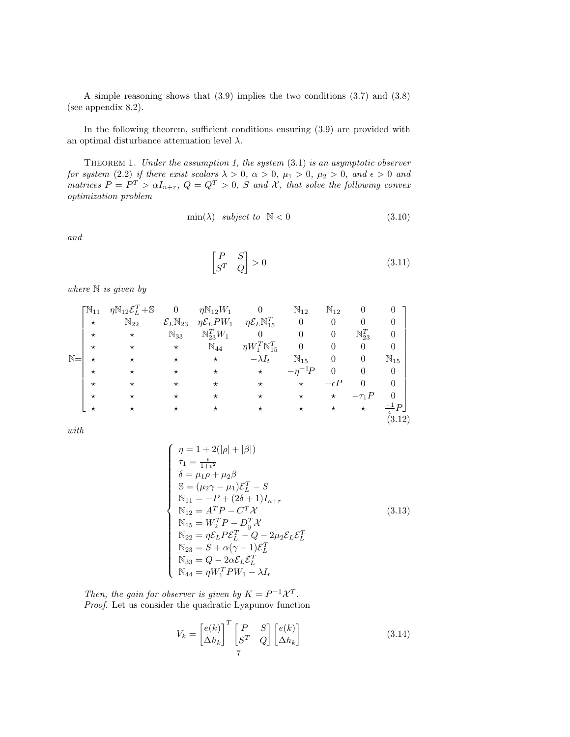A simple reasoning shows that (3.9) implies the two conditions (3.7) and (3.8) (see appendix 8.2).

In the following theorem, sufficient conditions ensuring (3.9) are provided with an optimal disturbance attenuation level  $\lambda$ .

THEOREM 1. Under the assumption 1, the system  $(3.1)$  is an asymptotic observer for system (2.2) if there exist scalars  $\lambda > 0$ ,  $\alpha > 0$ ,  $\mu_1 > 0$ ,  $\mu_2 > 0$ , and  $\epsilon > 0$  and matrices  $P = P^T > \alpha I_{n+r}$ ,  $Q = Q^T > 0$ , S and X, that solve the following convex optimization problem

$$
\min(\lambda) \quad subject \quad to \quad \mathbb{N} < 0 \tag{3.10}
$$

and

$$
\begin{bmatrix} P & S \\ S^T & Q \end{bmatrix} > 0 \tag{3.11}
$$

where  $\mathbb N$  is given by

|                | $\mathbb{N}_{11}$ | $\eta \mathbb{N}_{12} \mathcal{E}_L^T + \mathbb{S}$ | $\theta$                       | $\eta \mathbb{N}_{12} W_1$ |                                        | $\mathbb{N}_{12}$ | $\mathbb{N}_{12}$ | 0                   |                        |  |
|----------------|-------------------|-----------------------------------------------------|--------------------------------|----------------------------|----------------------------------------|-------------------|-------------------|---------------------|------------------------|--|
|                | $\star$           | $\mathbb{N}_{22}$                                   | $\mathcal{E}_L\mathbb{N}_{23}$ | $\eta \mathcal{E}_L PW_1$  | $\eta \mathcal{E}_L \mathbb{N}_{15}^T$ | $\boldsymbol{0}$  | $\theta$          | $\theta$            | 0                      |  |
|                | $\star$           | $\star$                                             | $\mathbb{N}_{33}$              | $\mathbb{N}_{23}^T W_1$    | $\theta$                               | $\theta$          | $\theta$          | $\mathbb{N}_{23}^T$ | 0                      |  |
|                | $\star$           | $^\star$                                            | $\star$                        | $\mathbb{N}_{44}$          | $\eta W_1^T\mathbb{N}_{15}^T$          | $\theta$          | $\theta$          | $\theta$            | $\overline{0}$         |  |
| $\mathbb{N} =$ | $^\star$          | $\star$                                             | $\star$                        | $^\star$                   | $-\lambda I_t$                         | $\mathbb{N}_{15}$ | $\theta$          | $\theta$            | $\mathbb{N}_{15}$      |  |
|                | $\star$           | $\star$                                             | $^\star$                       | $^\star$                   | $\star$                                | $-\eta^{-1}P$     | $\theta$          | $\theta$            | $\overline{0}$         |  |
|                | $\star$           | $^\star$                                            | $^\star$                       | $^\star$                   | $^\star$                               | $\star$           | $-\epsilon P$     | $\theta$            | $\theta$               |  |
|                | $\star$           | $^\star$                                            | $^\star$                       | $^\star$                   | $\star$                                | $^\star$          | $\star$           | $-\tau_1 P$         | 0                      |  |
|                | $^\star$          | $^\star$                                            | $^\star$                       | $^\star$                   | $\star$                                | $^\star$          | $^{\star}$        | $^\star$            | $\frac{-1}{\epsilon}P$ |  |
|                |                   |                                                     |                                |                            |                                        |                   |                   |                     | (3.12)                 |  |

with

$$
\begin{cases}\n\eta = 1 + 2(|\rho| + |\beta|) \\
\tau_1 = \frac{\epsilon}{1 + \epsilon^2} \\
\delta = \mu_1 \rho + \mu_2 \beta \\
\mathbb{S} = (\mu_2 \gamma - \mu_1) \mathcal{E}_L^T - S \\
\mathbb{N}_{11} = -P + (2\delta + 1)I_{n+r} \\
\mathbb{N}_{12} = A^T P - C^T \mathcal{X} \\
\mathbb{N}_{15} = W_2^T P - D_y^T \mathcal{X} \\
\mathbb{N}_{22} = \eta \mathcal{E}_L P \mathcal{E}_L^T - Q - 2\mu_2 \mathcal{E}_L \mathcal{E}_L^T \\
\mathbb{N}_{23} = S + \alpha(\gamma - 1) \mathcal{E}_L^T \\
\mathbb{N}_{33} = Q - 2\alpha \mathcal{E}_L \mathcal{E}_L^T \\
\mathbb{N}_{44} = \eta W_1^T P W_1 - \lambda I_r\n\end{cases} (3.13)
$$

Then, the gain for observer is given by  $K = P^{-1} \mathcal{X}^T$ . Proof. Let us consider the quadratic Lyapunov function

$$
V_k = \begin{bmatrix} e(k) \\ \Delta h_k \end{bmatrix}^T \begin{bmatrix} P & S \\ S^T & Q \end{bmatrix} \begin{bmatrix} e(k) \\ \Delta h_k \end{bmatrix}
$$
 (3.14)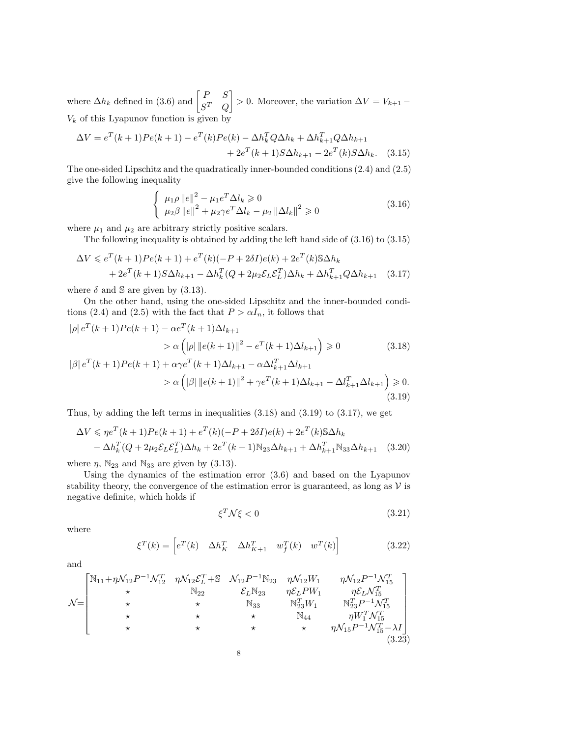where  $\Delta h_k$  defined in (3.6) and  $\begin{bmatrix} P & S \\ cT & C \end{bmatrix}$  $S^T$  Q  $\bigg] > 0.$  Moreover, the variation  $\Delta V = V_{k+1}$  −  $V_k$  of this Lyapunov function is given by

$$
\Delta V = e^{T}(k+1)Pe(k+1) - e^{T}(k)Pe(k) - \Delta h_k^T Q \Delta h_k + \Delta h_{k+1}^T Q \Delta h_{k+1} + 2e^{T}(k+1)S \Delta h_{k+1} - 2e^{T}(k)S \Delta h_k.
$$
 (3.15)

The one-sided Lipschitz and the quadratically inner-bounded conditions (2.4) and (2.5) give the following inequality

$$
\begin{cases} \mu_1 \rho \|e\|^2 - \mu_1 e^T \Delta l_k \ge 0\\ \mu_2 \beta \|e\|^2 + \mu_2 \gamma e^T \Delta l_k - \mu_2 \| \Delta l_k \|^2 \ge 0 \end{cases}
$$
\n(3.16)

where  $\mu_1$  and  $\mu_2$  are arbitrary strictly positive scalars.

The following inequality is obtained by adding the left hand side of (3.16) to (3.15)

$$
\Delta V \le e^{T}(k+1)Pe(k+1) + e^{T}(k)(-P + 2\delta I)e(k) + 2e^{T}(k)\Im\Delta h_{k} + 2e^{T}(k+1)S\Delta h_{k+1} - \Delta h_{k}^{T}(Q + 2\mu_{2}\mathcal{E}_{L}\mathcal{E}_{L}^{T})\Delta h_{k} + \Delta h_{k+1}^{T}Q\Delta h_{k+1}
$$
(3.17)

where  $\delta$  and  $\Im$  are given by (3.13).

On the other hand, using the one-sided Lipschitz and the inner-bounded conditions (2.4) and (2.5) with the fact that  $P > \alpha I_n$ , it follows that

$$
|\rho| e^{T}(k+1)Pe(k+1) - \alpha e^{T}(k+1)\Delta l_{k+1}
$$
  
\n
$$
> \alpha \left( |\rho| \|e(k+1)\|^{2} - e^{T}(k+1)\Delta l_{k+1} \right) \ge 0
$$
  
\n
$$
|\beta| e^{T}(k+1)Pe(k+1) + \alpha \gamma e^{T}(k+1)\Delta l_{k+1} - \alpha \Delta l_{k+1}^{T}\Delta l_{k+1}
$$
\n(3.18)

$$
\beta | e^{T}(k+1)Pe(k+1) + \alpha \gamma e^{T}(k+1)\Delta l_{k+1} - \alpha \Delta l_{k+1}^{T}\Delta l_{k+1}
$$
  
>  $\alpha \left( |\beta| \| e(k+1) \|^{2} + \gamma e^{T}(k+1)\Delta l_{k+1} - \Delta l_{k+1}^{T}\Delta l_{k+1} \right) \ge 0.$  (3.19)

Thus, by adding the left terms in inequalities (3.18) and (3.19) to (3.17), we get

$$
\Delta V \leq \eta e^{T} (k+1) Pe(k+1) + e^{T} (k) (-P + 2\delta I) e(k) + 2e^{T} (k) \delta \Delta h_{k}
$$
  
-  $\Delta h_{k}^{T} (Q + 2\mu_{2} \mathcal{E}_{L} \mathcal{E}_{L}^{T}) \Delta h_{k} + 2e^{T} (k+1) \mathbb{N}_{23} \Delta h_{k+1} + \Delta h_{k+1}^{T} \mathbb{N}_{33} \Delta h_{k+1}$  (3.20)

where  $\eta$ ,  $\mathbb{N}_{23}$  and  $\mathbb{N}_{33}$  are given by (3.13).

Using the dynamics of the estimation error (3.6) and based on the Lyapunov stability theory, the convergence of the estimation error is guaranteed, as long as  $V$  is negative definite, which holds if

$$
\xi^T \mathcal{N} \xi < 0 \tag{3.21}
$$

where

$$
\xi^{T}(k) = \left[e^{T}(k) \quad \Delta h_{K}^{T} \quad \Delta h_{K+1}^{T} \quad w_{f}^{T}(k) \quad w^{T}(k)\right]
$$
\n(3.22)

and

$$
\mathcal{N} = \begin{bmatrix}\n\mathbb{N}_{11} + \eta \mathcal{N}_{12} P^{-1} \mathcal{N}_{12}^T & \eta \mathcal{N}_{12} \mathcal{E}_L^T + \mathbb{S} & \mathcal{N}_{12} P^{-1} \mathbb{N}_{23} & \eta \mathcal{N}_{12} W_1 & \eta \mathcal{N}_{12} P^{-1} \mathcal{N}_{15}^T \\
\star & \mathbb{N}_{22} & \mathcal{E}_L \mathbb{N}_{23} & \eta \mathcal{E}_L P W_1 & \eta \mathcal{E}_L \mathcal{N}_{15}^T \\
\star & \star & \mathbb{N}_{33} & \mathbb{N}_{23}^T W_1 & \mathbb{N}_{23}^T P^{-1} \mathcal{N}_{15}^T \\
\star & \star & \star & \mathbb{N}_{44} & \eta W_1^T \mathcal{N}_{15}^T \\
\star & \star & \star & \star & \eta \mathcal{N}_{15} P^{-1} \mathcal{N}_{15}^T - \lambda I\n\end{bmatrix}
$$
\n(3.23)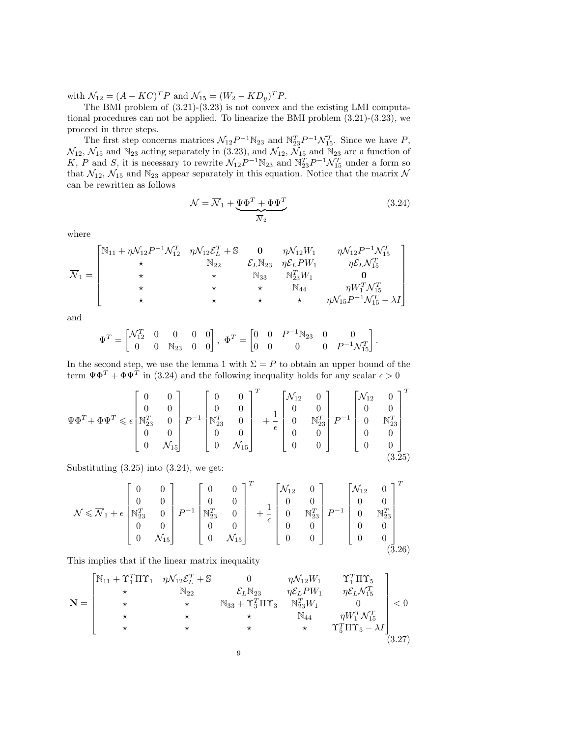with  $\mathcal{N}_{12} = (A - KC)^T P$  and  $\mathcal{N}_{15} = (W_2 - KD_y)^T P$ .

The BMI problem of (3.21)-(3.23) is not convex and the existing LMI computational procedures can not be applied. To linearize the BMI problem (3.21)-(3.23), we proceed in three steps.

The first step concerns matrices  $\mathcal{N}_{12}P^{-1}\mathbb{N}_{23}$  and  $\mathbb{N}_{23}^T P^{-1}\mathcal{N}_{15}^T$ . Since we have P,  $\mathcal{N}_{12}$ ,  $\mathcal{N}_{15}$  and  $\mathbb{N}_{23}$  acting separately in (3.23), and  $\mathcal{N}_{12}$ ,  $\widetilde{\mathcal{N}}_{15}$  and  $\widetilde{\mathbb{N}}_{23}$  are a function of K, P and S, it is necessary to rewrite  $\mathcal{N}_{12}P^{-1}\mathbb{N}_{23}$  and  $\mathbb{N}_{23}^T P^{-1}\mathcal{N}_{15}^T$  under a form so that  $\mathcal{N}_{12}$ ,  $\mathcal{N}_{15}$  and  $\mathbb{N}_{23}$  appear separately in this equation. Notice that the matrix  $\mathcal{N}$ can be rewritten as follows

$$
\mathcal{N} = \overline{\mathcal{N}}_1 + \underbrace{\Psi \Phi^T + \Phi \Psi^T}_{\overline{\mathcal{N}}_2}
$$
\n(3.24)

where

$$
\overline{\mathcal{N}}_1 = \begin{bmatrix}\n\mathbb{N}_{11} + \eta \mathcal{N}_{12} P^{-1} \mathcal{N}_{12}^T & \eta \mathcal{N}_{12} \mathcal{E}_L^T + \mathbb{S} & \mathbf{0} & \eta \mathcal{N}_{12} W_1 & \eta \mathcal{N}_{12} P^{-1} \mathcal{N}_{15}^T \\
\star & \mathbb{N}_{22} & \mathcal{E}_L \mathbb{N}_{23} & \eta \mathcal{E}_L P W_1 & \eta \mathcal{E}_L \mathcal{N}_{15}^T \\
\star & \star & \mathbb{N}_{33} & \mathbb{N}_{23}^T W_1 & \mathbf{0} \\
\star & \star & \star & \mathbb{N}_{44} & \eta W_1^T \mathcal{N}_{15}^T \\
\star & \star & \star & \star & \eta \mathcal{N}_{15} P^{-1} \mathcal{N}_{15}^T - \lambda I\end{bmatrix}
$$

and

$$
\Psi^T = \begin{bmatrix} \mathcal{N}_{12}^T & 0 & 0 & 0 & 0 \\ 0 & 0 & \mathbb{N}_{23} & 0 & 0 \end{bmatrix}, \ \Phi^T = \begin{bmatrix} 0 & 0 & P^{-1} \mathbb{N}_{23} & 0 & 0 \\ 0 & 0 & 0 & 0 & P^{-1} \mathcal{N}_{15}^T \end{bmatrix}.
$$

In the second step, we use the lemma 1 with  $\Sigma = P$  to obtain an upper bound of the term  $\Psi \Phi^T + \Phi \Psi^T$  in (3.24) and the following inequality holds for any scalar  $\epsilon > 0$ 

$$
\Psi\Phi^T + \Phi\Psi^T \leqslant \epsilon \begin{bmatrix} 0 & 0 \\ 0 & 0 \\ \mathbb{N}_{23}^T & 0 \\ 0 & 0 \\ 0 & \mathcal{N}_{15} \end{bmatrix} P^{-1} \begin{bmatrix} 0 & 0 \\ 0 & 0 \\ \mathbb{N}_{23}^T & 0 \\ 0 & 0 \\ 0 & \mathcal{N}_{15} \end{bmatrix}^T + \frac{1}{\epsilon} \begin{bmatrix} \mathcal{N}_{12} & 0 \\ 0 & 0 \\ 0 & \mathbb{N}_{23}^T \\ 0 & 0 \\ 0 & 0 \end{bmatrix} P^{-1} \begin{bmatrix} \mathcal{N}_{12} & 0 \\ 0 & 0 \\ 0 & \mathbb{N}_{23}^T \\ 0 & 0 \\ 0 & 0 \end{bmatrix}^T
$$

Substituting  $(3.25)$  into  $(3.24)$ , we get:

$$
\mathcal{N} \leqslant \overline{\mathcal{N}}_1 + \epsilon \begin{bmatrix} 0 & 0 \\ 0 & 0 \\ \mathbb{N}_{23}^T & 0 \\ 0 & 0 \\ 0 & \mathcal{N}_{15} \end{bmatrix} P^{-1} \begin{bmatrix} 0 & 0 \\ 0 & 0 \\ \mathbb{N}_{23}^T & 0 \\ 0 & 0 \\ 0 & \mathcal{N}_{15} \end{bmatrix}^T + \frac{1}{\epsilon} \begin{bmatrix} \mathcal{N}_{12} & 0 \\ 0 & 0 \\ 0 & \mathbb{N}_{23}^T \\ 0 & 0 \\ 0 & 0 \end{bmatrix} P^{-1} \begin{bmatrix} \mathcal{N}_{12} & 0 \\ 0 & 0 \\ 0 & \mathbb{N}_{33}^T \\ 0 & 0 \\ 0 & 0 \end{bmatrix}^T
$$
\n
$$
(3.26)
$$

This implies that if the linear matrix inequality

$$
\mathbf{N} = \begin{bmatrix}\n\mathbb{N}_{11} + \Upsilon_1^T \Pi \Upsilon_1 & \eta \mathcal{N}_{12} \mathcal{E}_L^T + \mathbb{S} & 0 & \eta \mathcal{N}_{12} W_1 & \Upsilon_1^T \Pi \Upsilon_5 \\
\star & \mathbb{N}_{22} & \mathcal{E}_L \mathbb{N}_{23} & \eta \mathcal{E}_L P W_1 & \eta \mathcal{E}_L \mathcal{N}_{15}^T \\
\star & \star & \mathbb{N}_{33} + \Upsilon_3^T \Pi \Upsilon_3 & \mathbb{N}_{23}^T W_1 & 0 \\
\star & \star & \star & \mathbb{N}_{44} & \eta W_1^T \mathcal{N}_{15}^T \\
\star & \star & \star & \star & \Upsilon_5^T \Pi \Upsilon_5 - \lambda I\n\end{bmatrix} < 0
$$
\n(3.27)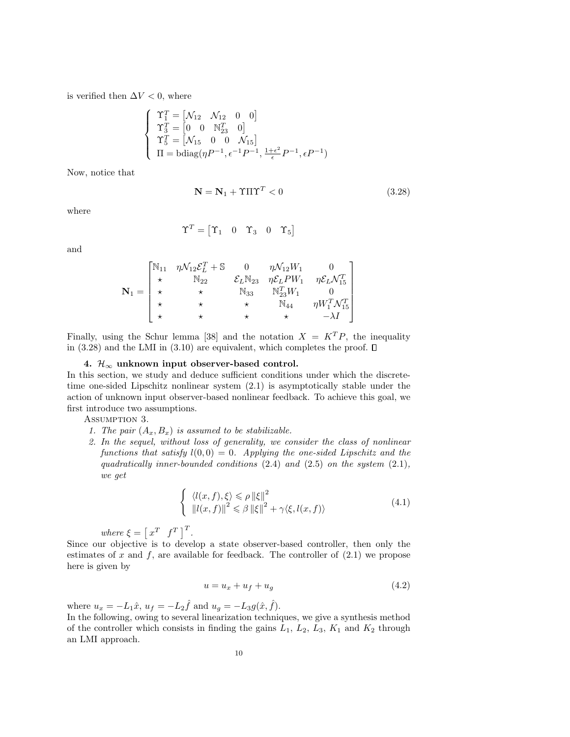is verified then  $\Delta V < 0$ , where

$$
\begin{cases}\n\Upsilon_1^T = \begin{bmatrix} \mathcal{N}_{12} & \mathcal{N}_{12} & 0 & 0 \end{bmatrix} \\
\Upsilon_3^T = \begin{bmatrix} 0 & 0 & \mathbb{N}_{23}^T & 0 \end{bmatrix} \\
\Upsilon_5^T = \begin{bmatrix} \mathcal{N}_{15} & 0 & 0 & \mathcal{N}_{15} \end{bmatrix} \\
\Pi = \text{bdiag}(\eta P^{-1}, \epsilon^{-1} P^{-1}, \frac{1+\epsilon^2}{\epsilon} P^{-1}, \epsilon P^{-1})\n\end{cases}
$$

Now, notice that

$$
\mathbf{N} = \mathbf{N}_1 + \Upsilon \Pi \Upsilon^T < 0 \tag{3.28}
$$

where

$$
\Upsilon^T = \begin{bmatrix} \Upsilon_1 & 0 & \Upsilon_3 & 0 & \Upsilon_5 \end{bmatrix}
$$

and

$$
\mathbf{N}_1 = \begin{bmatrix} \mathbb{N}_{11} & \eta \mathcal{N}_{12} \mathcal{E}_L^T + \mathbb{S} & 0 & \eta \mathcal{N}_{12} W_1 & 0 \\ \star & \mathbb{N}_{22} & \mathcal{E}_L \mathbb{N}_{23} & \eta \mathcal{E}_L P W_1 & \eta \mathcal{E}_L \mathcal{N}_{15}^T \\ \star & \star & \mathbb{N}_{33} & \mathbb{N}_{23}^T W_1 & 0 \\ \star & \star & \star & \mathbb{N}_{44} & \eta W_1^T \mathcal{N}_{15}^T \\ \star & \star & \star & \star & -\lambda I \end{bmatrix}
$$

Finally, using the Schur lemma [38] and the notation  $X = K^T P$ , the inequality in (3.28) and the LMI in (3.10) are equivalent, which completes the proof.  $\square$ 

#### 4.  $\mathcal{H}_{\infty}$  unknown input observer-based control.

In this section, we study and deduce sufficient conditions under which the discretetime one-sided Lipschitz nonlinear system (2.1) is asymptotically stable under the action of unknown input observer-based nonlinear feedback. To achieve this goal, we first introduce two assumptions.

Assumption 3.

- 1. The pair  $(A_x, B_x)$  is assumed to be stabilizable.
- 2. In the sequel, without loss of generality, we consider the class of nonlinear functions that satisfy  $l(0,0) = 0$ . Applying the one-sided Lipschitz and the quadratically inner-bounded conditions  $(2.4)$  and  $(2.5)$  on the system  $(2.1)$ , we get

$$
\begin{cases} \langle l(x,f),\xi\rangle \leqslant \rho \left\| \xi \right\|^2\\ \left\| l(x,f) \right\|^2 \leqslant \beta \left\| \xi \right\|^2 + \gamma \langle \xi, l(x,f) \rangle \end{cases} \tag{4.1}
$$

where  $\xi = \begin{bmatrix} x^T & f^T \end{bmatrix}^T$ .

Since our objective is to develop a state observer-based controller, then only the estimates of x and  $f$ , are available for feedback. The controller of  $(2.1)$  we propose here is given by

$$
u = u_x + u_f + u_g \tag{4.2}
$$

where  $u_x = -L_1 \hat{x}$ ,  $u_f = -L_2 \hat{f}$  and  $u_g = -L_3 g(\hat{x}, \hat{f})$ .

In the following, owing to several linearization techniques, we give a synthesis method of the controller which consists in finding the gains  $L_1$ ,  $L_2$ ,  $L_3$ ,  $K_1$  and  $K_2$  through an LMI approach.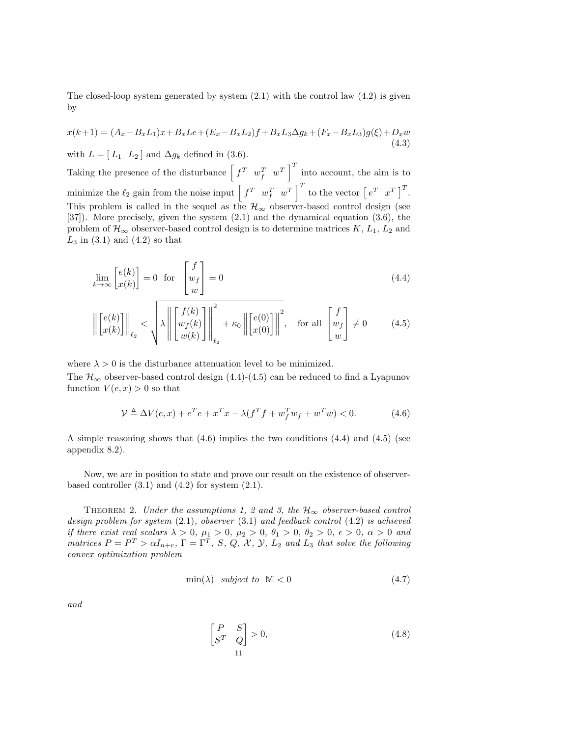The closed-loop system generated by system  $(2.1)$  with the control law  $(4.2)$  is given by

$$
x(k+1) = (A_x - B_x L_1)x + B_x Le + (E_x - B_x L_2)f + B_x L_3 \Delta g_k + (F_x - B_x L_3)g(\xi) + D_x w
$$
\n(4.3)

with  $L = [L_1 \ L_2]$  and  $\Delta g_k$  defined in (3.6).

Taking the presence of the disturbance  $\begin{bmatrix} f^T & w_f^T & w^T \end{bmatrix}^T$  into account, the aim is to minimize the  $\ell_2$  gain from the noise input  $\begin{bmatrix} f^T & w_f^T & w^T \end{bmatrix}^T$  to the vector  $\begin{bmatrix} e^T & x^T \end{bmatrix}^T$ . This problem is called in the sequel as the  $\mathcal{H}_{\infty}$  observer-based control design (see [37]). More precisely, given the system (2.1) and the dynamical equation (3.6), the problem of  $\mathcal{H}_{\infty}$  observer-based control design is to determine matrices K,  $L_1$ ,  $L_2$  and  $L_3$  in  $(3.1)$  and  $(4.2)$  so that

$$
\lim_{k \to \infty} \begin{bmatrix} e(k) \\ x(k) \end{bmatrix} = 0 \quad \text{for} \quad \begin{bmatrix} f \\ w_f \\ w \end{bmatrix} = 0 \tag{4.4}
$$

$$
\left\| \begin{bmatrix} e(k) \\ x(k) \end{bmatrix} \right\|_{\ell_2} < \sqrt{\lambda \left\| \begin{bmatrix} f(k) \\ w_f(k) \\ w(k) \end{bmatrix} \right\|_{\ell_2}^2} + \kappa_0 \left\| \begin{bmatrix} e(0) \\ x(0) \end{bmatrix} \right\|^2, \quad \text{for all } \begin{bmatrix} f \\ w_f \\ w \end{bmatrix} \neq 0 \tag{4.5}
$$

where  $\lambda > 0$  is the disturbance attenuation level to be minimized.

The  $\mathcal{H}_{\infty}$  observer-based control design (4.4)-(4.5) can be reduced to find a Lyapunov function  $V(e, x) > 0$  so that

$$
\mathcal{V} \triangleq \Delta V(e, x) + e^T e + x^T x - \lambda (f^T f + w_f^T w_f + w^T w) < 0. \tag{4.6}
$$

A simple reasoning shows that (4.6) implies the two conditions (4.4) and (4.5) (see appendix 8.2).

Now, we are in position to state and prove our result on the existence of observerbased controller  $(3.1)$  and  $(4.2)$  for system  $(2.1)$ .

THEOREM 2. Under the assumptions 1, 2 and 3, the  $\mathcal{H}_{\infty}$  observer-based control design problem for system (2.1), observer (3.1) and feedback control (4.2) is achieved if there exist real scalars  $\lambda > 0$ ,  $\mu_1 > 0$ ,  $\mu_2 > 0$ ,  $\theta_1 > 0$ ,  $\theta_2 > 0$ ,  $\epsilon > 0$ ,  $\alpha > 0$  and matrices  $P = P^T > \alpha I_{n+r}$ ,  $\Gamma = \Gamma^T$ , S, Q, X, Y,  $L_2$  and  $L_3$  that solve the following convex optimization problem

$$
\min(\lambda) \quad subject \quad to \quad \mathbb{M} < 0 \tag{4.7}
$$

and

$$
\begin{bmatrix} P & S \\ S^T & Q \end{bmatrix} > 0,\tag{4.8}
$$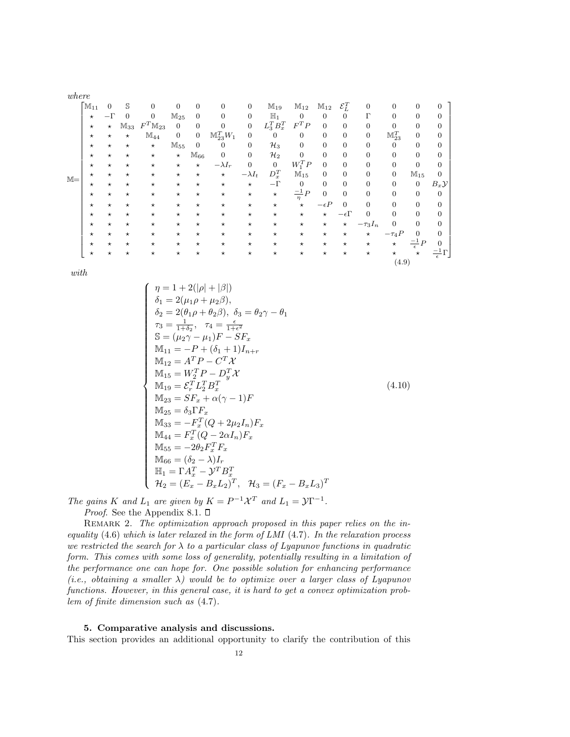| where |                                 |                |            |                       |                |                |                        |                |                 |                    |                   |                   |                  |                     |                        |                  |
|-------|---------------------------------|----------------|------------|-----------------------|----------------|----------------|------------------------|----------------|-----------------|--------------------|-------------------|-------------------|------------------|---------------------|------------------------|------------------|
|       | $\lceil \mathbb{M}_{11} \rceil$ | $\overline{0}$ | S          | $\overline{0}$        | $\overline{0}$ | $\overline{0}$ | $\boldsymbol{0}$       | $\overline{0}$ | $M_{19}$        | $M_{12}$           | $\mathbb{M}_{12}$ | $\mathcal{E}_L^T$ | $\mathbf{0}$     | $\overline{0}$      | $\overline{0}$         | $\mathbf{0}$     |
|       | $^\star$                        | $-\Gamma$      | $\theta$   | $\overline{0}$        | $M_{25}$       | $\overline{0}$ | $\Omega$               | $\overline{0}$ | $\mathbb{H}_1$  | $\overline{0}$     | 0                 | $\overline{0}$    | $\Gamma$         | $\Omega$            | $\theta$               | $\mathbf{0}$     |
|       | $^{\star}$                      | $\star$        | $M_{33}$   | $F^T \mathbb{M}_{23}$ | $\theta$       | $\overline{0}$ | $\overline{0}$         | $\overline{0}$ | $L_3^T B_x^T$   | $F^TP$             | $\overline{0}$    | $\overline{0}$    | $\boldsymbol{0}$ | $\overline{0}$      | $\overline{0}$         | $\overline{0}$   |
|       | $^{\star}$                      | $\star$        | $^{\star}$ | $\mathbb{M}_{44}$     | $\mathbf{0}$   | $\overline{0}$ | $\mathbb{M}_{23}^TW_1$ | $\overline{0}$ | $\overline{0}$  | $\overline{0}$     | 0                 | $\boldsymbol{0}$  | $\boldsymbol{0}$ | $\mathbb{M}_{23}^T$ | 0                      | $\mathbf{0}$     |
|       | $\star$                         | $^\star$       | $^\star$   | $\star$               | $M_{55}$       | $\overline{0}$ | $\mathbf{0}$           | $\overline{0}$ | $\mathcal{H}_3$ | $\overline{0}$     | 0                 | $\boldsymbol{0}$  | $\boldsymbol{0}$ | $\mathbf{0}$        | $\overline{0}$         | $\boldsymbol{0}$ |
|       | $^{\star}$                      | $^\star$       | $\star$    | $\star$               | $\star$        | $M_{66}$       | $\overline{0}$         | $\overline{0}$ | $\mathcal{H}_2$ | $\mathbf{0}$       | $\boldsymbol{0}$  | $\overline{0}$    | $\boldsymbol{0}$ | $\overline{0}$      | $\boldsymbol{0}$       | $\overline{0}$   |
|       | $\star$                         | $\star$        | $\star$    | $^{\star}$            | $^{\star}$     | $\star$        | $-\lambda I_r$         | $\overline{0}$ | $\mathbf{0}$    | $W_1^T P$          | $\overline{0}$    | $\theta$          | $\overline{0}$   | $\overline{0}$      | $\overline{0}$         | $\boldsymbol{0}$ |
|       | $\star$                         | $\star$        | $^{\star}$ | $\star$               | $^{\star}$     | $\star$        | $\star$                | $-\lambda I_t$ | $D_x^T$         | $M_{15}$           | $\overline{0}$    | $\overline{0}$    | $\overline{0}$   | $\overline{0}$      | $M_{15}$               | $\overline{0}$   |
| $M =$ | $^\star$                        | $\star$        | $\star$    | $\star$               | $^{\star}$     | $\star$        | $^\star$               | $\star$        | $-\Gamma$       | $\mathbf{0}$       | 0                 | $\overline{0}$    | $\overline{0}$   | $\overline{0}$      | $\overline{0}$         | $B_x\mathcal{Y}$ |
|       | $^\star$                        | $^\star$       | $^\star$   | $^\star$              | $^{\star}$     | $^{\star}$     | $^{\star}$             | $^{\star}$     | $\star$         | $\frac{-1}{\eta}P$ | $\boldsymbol{0}$  | $\overline{0}$    | $\mathbf{0}$     | $\overline{0}$      | $\boldsymbol{0}$       | $\mathbf{0}$     |
|       | $^\star$                        | $\star$        | $\star$    | $^\star$              | $^{\star}$     | $\star$        | $\star$                | $\star$        | $^\star$        | $\star$            | $-\epsilon P$     | $\theta$          | $\overline{0}$   | $\overline{0}$      | $\overline{0}$         | $\boldsymbol{0}$ |
|       | $^{\star}$                      | $\star$        | $\star$    | $\star$               | $^{\star}$     | $\star$        | $\star$                | $\star$        | $\star$         | $\star$            | $\star$           | $-\epsilon\Gamma$ | $\overline{0}$   | $\Omega$            | $\Omega$               | $\boldsymbol{0}$ |
|       | $^{\star}$                      | $\star$        | $^\star$   | $\star$               | $^{\star}$     | $^{\star}$     | $\star$                | $^{\star}$     | $^\star$        | $^\star$           | $^\star$          | $\star$           | $-\tau_3 I_n$    | $\overline{0}$      | $\overline{0}$         | $\mathbf{0}$     |
|       | $^{\star}$                      | $^\star$       | $\star$    | $^\star$              | $^{\star}$     | $^{\star}$     | $^{\star}$             | $^{\star}$     | $^\star$        | $^\star$           | $^\star$          | $^{\star}$        | $\star$          | $-\tau_4 P$         | $\overline{0}$         | $\overline{0}$   |
|       | $^\star$                        | $\star$        | $^{\star}$ | $^{\star}$            | $^{\star}$     | $\star$        | $\star$                | $^{\star}$     | $^\star$        | $\star$            | $^\star$          | $\star$           | $^\star$         | $^{\star}$          | $\frac{-1}{\epsilon}P$ | $\overline{0}$   |
|       | $^\star$                        | $\star$        | $\star$    | $^{\star}$            | $^{\star}$     | $\star$        | $^\star$               | $^\star$       | $^\star$        | $^\star$           | $^\star$          | $^\star$          | $^\star$         | $^\star$            | $^\star$               | - 1 -            |

with

$$
\begin{cases}\n\eta = 1 + 2(|\rho| + |\beta|) \\
\delta_1 = 2(\mu_1 \rho + \mu_2 \beta), \\
\delta_2 = 2(\theta_1 \rho + \theta_2 \beta), \ \delta_3 = \theta_2 \gamma - \theta_1 \\
\tau_3 = \frac{1}{1 + \delta_2}, \quad \tau_4 = \frac{\epsilon}{1 + \epsilon^2} \\
\mathbb{S} = (\mu_2 \gamma - \mu_1)F - SF_x \\
\mathbb{M}_{11} = -P + (\delta_1 + 1)I_{n+r} \\
\mathbb{M}_{12} = A^T P - C^T \mathcal{X} \\
\mathbb{M}_{13} = W_2^T P - D_J^T \mathcal{X} \\
\mathbb{M}_{19} = \mathcal{E}_r^T L_J^T B_x^T \\
\mathbb{M}_{23} = SF_x + \alpha(\gamma - 1)F \\
\mathbb{M}_{25} = \delta_3 \Gamma F_x \\
\mathbb{M}_{33} = -F_x^T (Q + 2\mu_2 I_n) F_x \\
\mathbb{M}_{44} = F_x^T (Q - 2\alpha I_n) F_x \\
\mathbb{M}_{55} = -2\theta_2 F_x^T F_x \\
\mathbb{M}_{66} = (\delta_2 - \lambda)I_r \\
\mathbb{H}_1 = \Gamma A_x^T - \mathcal{Y}^T B_x^T \\
\mathcal{H}_2 = (E_x - B_x L_2)^T, \quad \mathcal{H}_3 = (F_x - B_x L_3)^T\n\end{cases} (4.10)
$$

(4.9)

The gains K and  $L_1$  are given by  $K = P^{-1} \mathcal{X}^T$  and  $L_1 = \mathcal{Y} \Gamma^{-1}$ . *Proof.* See the Appendix 8.1.  $\square$ 

REMARK 2. The optimization approach proposed in this paper relies on the inequality  $(4.6)$  which is later relaxed in the form of LMI  $(4.7)$ . In the relaxation process we restricted the search for  $\lambda$  to a particular class of Lyapunov functions in quadratic form. This comes with some loss of generality, potentially resulting in a limitation of the performance one can hope for. One possible solution for enhancing performance (i.e., obtaining a smaller  $\lambda$ ) would be to optimize over a larger class of Lyapunov functions. However, in this general case, it is hard to get a convex optimization problem of finite dimension such as (4.7).

## 5. Comparative analysis and discussions.

This section provides an additional opportunity to clarify the contribution of this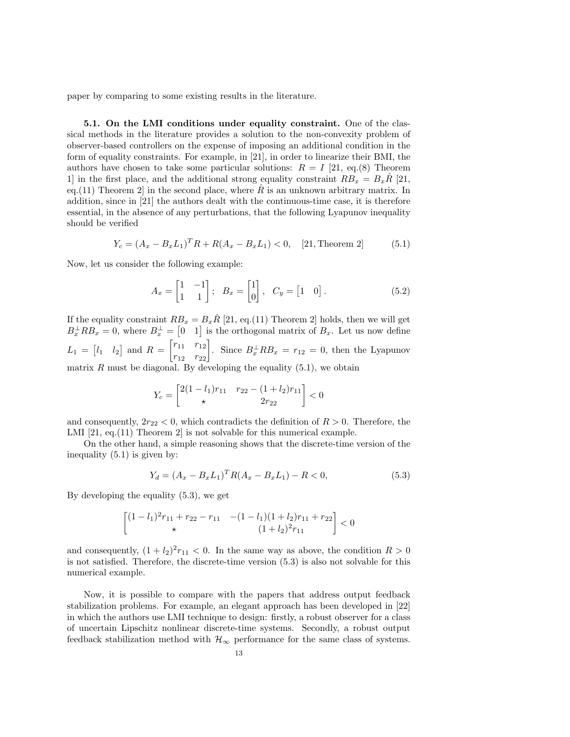paper by comparing to some existing results in the literature.

5.1. On the LMI conditions under equality constraint. One of the classical methods in the literature provides a solution to the non-convexity problem of observer-based controllers on the expense of imposing an additional condition in the form of equality constraints. For example, in [21], in order to linearize their BMI, the authors have chosen to take some particular solutions:  $R = I$  [21, eq.(8) Theorem 1] in the first place, and the additional strong equality constraint  $RB_x = B_x R$  [21, eq.(11) Theorem 2 in the second place, where  $\hat{R}$  is an unknown arbitrary matrix. In addition, since in [21] the authors dealt with the continuous-time case, it is therefore essential, in the absence of any perturbations, that the following Lyapunov inequality should be verified

$$
Y_c = (A_x - B_x L_1)^T R + R(A_x - B_x L_1) < 0, \quad [21, \text{Theorem 2}] \tag{5.1}
$$

Now, let us consider the following example:

$$
A_x = \begin{bmatrix} 1 & -1 \\ 1 & 1 \end{bmatrix}; \quad B_x = \begin{bmatrix} 1 \\ 0 \end{bmatrix}, \quad C_y = \begin{bmatrix} 1 & 0 \end{bmatrix}. \tag{5.2}
$$

If the equality constraint  $RB_x = B_x \hat{R}$  [21, eq.(11) Theorem 2] holds, then we will get  $B_x^{\perp}RB_x = 0$ , where  $B_x^{\perp} = \begin{bmatrix} 0 & 1 \end{bmatrix}$  is the orthogonal matrix of  $B_x$ . Let us now define  $L_1 = \begin{bmatrix} l_1 & l_2 \end{bmatrix}$  and  $R = \begin{bmatrix} r_{11} & r_{12} \\ r_{12} & r_{22} \end{bmatrix}$ . Since  $B_x^{\perp} R B_x = r_{12} = 0$ , then the Lyapunov matrix  $R$  must be diagonal. By developing the equality  $(5.1)$ , we obtain

$$
Y_c = \begin{bmatrix} 2(1 - l_1)r_{11} & r_{22} - (1 + l_2)r_{11} \\ \star & 2r_{22} \end{bmatrix} < 0
$$

and consequently,  $2r_{22} < 0$ , which contradicts the definition of  $R > 0$ . Therefore, the LMI [21, eq. (11) Theorem 2] is not solvable for this numerical example.

On the other hand, a simple reasoning shows that the discrete-time version of the inequality (5.1) is given by:

$$
Y_d = (A_x - B_x L_1)^T R (A_x - B_x L_1) - R < 0,\tag{5.3}
$$

By developing the equality (5.3), we get

$$
\begin{bmatrix} (1-l_1)^2 r_{11} + r_{22} - r_{11} & -(1-l_1)(1+l_2)r_{11} + r_{22} \\\ast & (1+l_2)^2 r_{11} \end{bmatrix} < 0
$$

and consequently,  $(1 + l_2)^2 r_{11} < 0$ . In the same way as above, the condition  $R > 0$ is not satisfied. Therefore, the discrete-time version (5.3) is also not solvable for this numerical example.

Now, it is possible to compare with the papers that address output feedback stabilization problems. For example, an elegant approach has been developed in [22] in which the authors use LMI technique to design: firstly, a robust observer for a class of uncertain Lipschitz nonlinear discrete-time systems. Secondly, a robust output feedback stabilization method with  $\mathcal{H}_{\infty}$  performance for the same class of systems.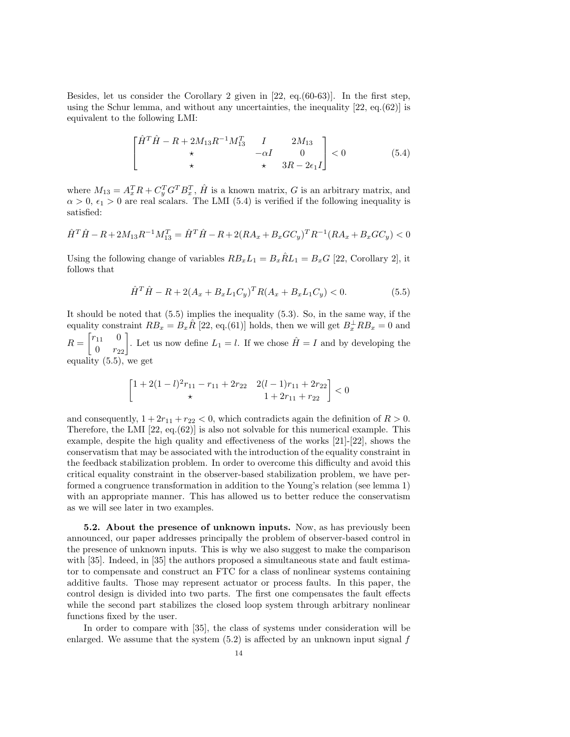Besides, let us consider the Corollary 2 given in [22, eq.(60-63)]. In the first step, using the Schur lemma, and without any uncertainties, the inequality [22, eq.(62)] is equivalent to the following LMI:

$$
\begin{bmatrix} \hat{H}^T \hat{H} - R + 2M_{13}R^{-1}M_{13}^T & I & 2M_{13} \\ \star & -\alpha I & 0 \\ \star & \star & 3R - 2\epsilon_1 I \end{bmatrix} < 0
$$
 (5.4)

where  $M_{13} = A_x^T R + C_y^T G^T B_x^T$ ,  $\hat{H}$  is a known matrix, G is an arbitrary matrix, and  $\alpha > 0$ ,  $\epsilon_1 > 0$  are real scalars. The LMI (5.4) is verified if the following inequality is satisfied:

$$
\hat{H}^T \hat{H} - R + 2M_{13}R^{-1}M_{13}^T = \hat{H}^T \hat{H} - R + 2(RA_x + B_x GC_y)^T R^{-1} (RA_x + B_x GC_y) < 0
$$

Using the following change of variables  $RB_xL_1 = B_x\hat{R}L_1 = B_xG$  [22, Corollary 2], it follows that

$$
\hat{H}^T \hat{H} - R + 2(A_x + B_x L_1 C_y)^T R (A_x + B_x L_1 C_y) < 0. \tag{5.5}
$$

It should be noted that (5.5) implies the inequality (5.3). So, in the same way, if the equality constraint  $RB_x = B_x \hat{R}$  [22, eq.(61)] holds, then we will get  $B_x^{\perp} R B_x = 0$  and  $R = \begin{bmatrix} r_{11} & 0 \\ 0 & r_{22} \end{bmatrix}$ . Let us now define  $L_1 = l$ . If we chose  $\hat{H} = I$  and by developing the equality (5.5), we get

$$
\begin{bmatrix} 1+2(1-l)^2r_{11}-r_{11}+2r_{22} & 2(l-1)r_{11}+2r_{22} \ \ast & 1+2r_{11}+r_{22} \end{bmatrix} < 0
$$

and consequently,  $1 + 2r_{11} + r_{22} < 0$ , which contradicts again the definition of  $R > 0$ . Therefore, the LMI  $[22, \text{eq.62})]$  is also not solvable for this numerical example. This example, despite the high quality and effectiveness of the works [21]-[22], shows the conservatism that may be associated with the introduction of the equality constraint in the feedback stabilization problem. In order to overcome this difficulty and avoid this critical equality constraint in the observer-based stabilization problem, we have performed a congruence transformation in addition to the Young's relation (see lemma 1) with an appropriate manner. This has allowed us to better reduce the conservatism as we will see later in two examples.

5.2. About the presence of unknown inputs. Now, as has previously been announced, our paper addresses principally the problem of observer-based control in the presence of unknown inputs. This is why we also suggest to make the comparison with [35]. Indeed, in [35] the authors proposed a simultaneous state and fault estimator to compensate and construct an FTC for a class of nonlinear systems containing additive faults. Those may represent actuator or process faults. In this paper, the control design is divided into two parts. The first one compensates the fault effects while the second part stabilizes the closed loop system through arbitrary nonlinear functions fixed by the user.

In order to compare with [35], the class of systems under consideration will be enlarged. We assume that the system  $(5.2)$  is affected by an unknown input signal f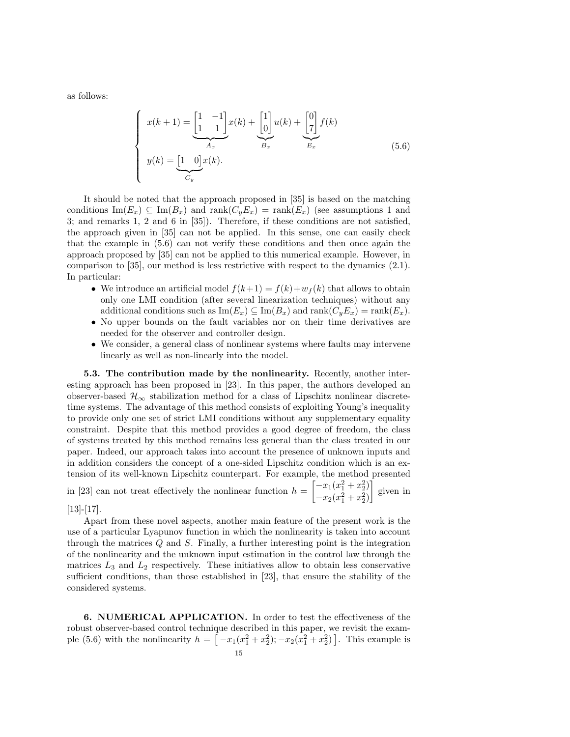as follows:

$$
\begin{cases}\nx(k+1) = \underbrace{\begin{bmatrix} 1 & -1 \\ 1 & 1 \end{bmatrix}}_{A_x} x(k) + \underbrace{\begin{bmatrix} 1 \\ 0 \end{bmatrix}}_{B_x} u(k) + \underbrace{\begin{bmatrix} 0 \\ 7 \end{bmatrix}}_{E_x} f(k) \\
y(k) = \underbrace{\begin{bmatrix} 1 & 0 \end{bmatrix}}_{C_y} x(k).\n\end{cases} (5.6)
$$

It should be noted that the approach proposed in [35] is based on the matching conditions  $\text{Im}(E_x) \subseteq \text{Im}(B_x)$  and  $\text{rank}(C_yE_x) = \text{rank}(E_x)$  (see assumptions 1 and 3; and remarks 1, 2 and 6 in [35]). Therefore, if these conditions are not satisfied, the approach given in [35] can not be applied. In this sense, one can easily check that the example in (5.6) can not verify these conditions and then once again the approach proposed by [35] can not be applied to this numerical example. However, in comparison to [35], our method is less restrictive with respect to the dynamics (2.1). In particular:

- We introduce an artificial model  $f(k+1) = f(k) + w_f(k)$  that allows to obtain only one LMI condition (after several linearization techniques) without any additional conditions such as  $\text{Im}(E_x) \subseteq \text{Im}(B_x)$  and  $\text{rank}(C_yE_x) = \text{rank}(E_x)$ .
- No upper bounds on the fault variables nor on their time derivatives are needed for the observer and controller design.
- We consider, a general class of nonlinear systems where faults may intervene linearly as well as non-linearly into the model.

5.3. The contribution made by the nonlinearity. Recently, another interesting approach has been proposed in [23]. In this paper, the authors developed an observer-based  $\mathcal{H}_{\infty}$  stabilization method for a class of Lipschitz nonlinear discretetime systems. The advantage of this method consists of exploiting Young's inequality to provide only one set of strict LMI conditions without any supplementary equality constraint. Despite that this method provides a good degree of freedom, the class of systems treated by this method remains less general than the class treated in our paper. Indeed, our approach takes into account the presence of unknown inputs and in addition considers the concept of a one-sided Lipschitz condition which is an extension of its well-known Lipschitz counterpart. For example, the method presented in [23] can not treat effectively the nonlinear function  $h = \begin{bmatrix} -x_1(x_1^2 + x_2^2) \\ x_1(x_2^2 + x_3^2) \end{bmatrix}$  $-x_2(x_1^2+x_2^2)$ given in

 $[13]-[17]$ .

Apart from these novel aspects, another main feature of the present work is the use of a particular Lyapunov function in which the nonlinearity is taken into account through the matrices Q and S. Finally, a further interesting point is the integration of the nonlinearity and the unknown input estimation in the control law through the matrices  $L_3$  and  $L_2$  respectively. These initiatives allow to obtain less conservative sufficient conditions, than those established in [23], that ensure the stability of the considered systems.

6. NUMERICAL APPLICATION. In order to test the effectiveness of the robust observer-based control technique described in this paper, we revisit the example (5.6) with the nonlinearity  $h = [-x_1(x_1^2 + x_2^2); -x_2(x_1^2 + x_2^2)]$ . This example is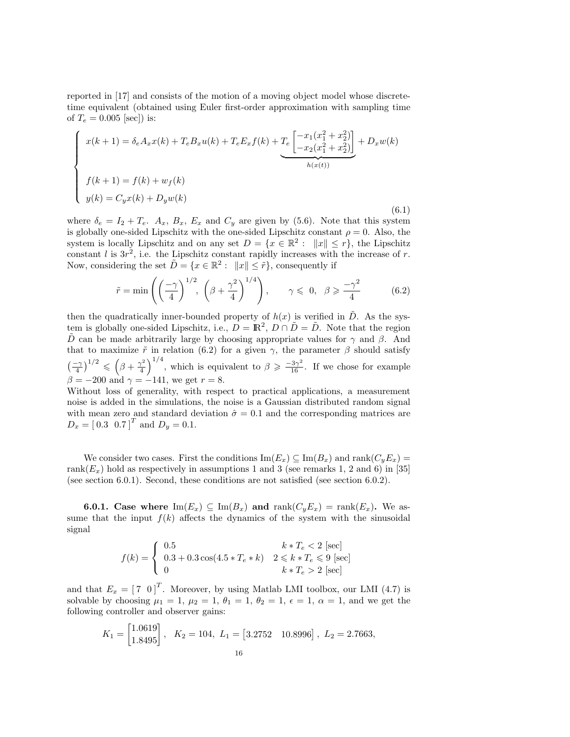reported in [17] and consists of the motion of a moving object model whose discretetime equivalent (obtained using Euler first-order approximation with sampling time of  $T_e = 0.005$  [sec]) is:

$$
\begin{cases}\nx(k+1) = \delta_e A_x x(k) + T_e B_x u(k) + T_e E_x f(k) + \underbrace{T_e \begin{bmatrix} -x_1(x_1^2 + x_2^2) \\ -x_2(x_1^2 + x_2^2) \end{bmatrix}}_{h(x(t))} + D_x w(k) \\
f(k+1) = f(k) + w_f(k) \\
y(k) = C_y x(k) + D_y w(k)\n\end{cases} (6.1)
$$

where  $\delta_e = I_2 + T_e$ .  $A_x$ ,  $B_x$ ,  $E_x$  and  $C_y$  are given by (5.6). Note that this system is globally one-sided Lipschitz with the one-sided Lipschitz constant  $\rho = 0$ . Also, the system is locally Lipschitz and on any set  $D = \{x \in \mathbb{R}^2 : ||x|| \leq r\}$ , the Lipschitz constant  $l$  is  $3r^2$ , i.e. the Lipschitz constant rapidly increases with the increase of r. Now, considering the set  $\tilde{D} = \{x \in \mathbb{R}^2 : ||x|| \leq \tilde{r}\}$ , consequently if

$$
\tilde{r} = \min\left( \left(\frac{-\gamma}{4}\right)^{1/2}, \left(\beta + \frac{\gamma^2}{4}\right)^{1/4} \right), \qquad \gamma \leq 0, \ \ \beta \geq \frac{-\gamma^2}{4} \tag{6.2}
$$

then the quadratically inner-bounded property of  $h(x)$  is verified in  $\tilde{D}$ . As the system is globally one-sided Lipschitz, i.e.,  $D = \mathbb{R}^2$ ,  $D \cap \tilde{D} = \tilde{D}$ . Note that the region D can be made arbitrarily large by choosing appropriate values for  $\gamma$  and  $\beta$ . And that to maximize  $\tilde{r}$  in relation (6.2) for a given  $\gamma$ , the parameter  $\beta$  should satisfy  $\left(\frac{-\gamma}{4}\right)^{1/2} \leqslant \left(\beta + \frac{\gamma^2}{4}\right)$  $\left(\frac{\gamma^2}{4}\right)^{1/4}$ , which is equivalent to  $\beta \geqslant \frac{-3\gamma^2}{16}$ . If we chose for example  $\beta = -200$  and  $\gamma = -141$ , we get  $r = 8$ .

Without loss of generality, with respect to practical applications, a measurement noise is added in the simulations, the noise is a Gaussian distributed random signal with mean zero and standard deviation  $\hat{\sigma} = 0.1$  and the corresponding matrices are  $D_x = [0.3 \ 0.7]^T$  and  $D_y = 0.1$ .

We consider two cases. First the conditions  $\text{Im}(E_x) \subseteq \text{Im}(B_x)$  and  $\text{rank}(C_yE_x) =$ rank $(E_x)$  hold as respectively in assumptions 1 and 3 (see remarks 1, 2 and 6) in [35] (see section 6.0.1). Second, these conditions are not satisfied (see section 6.0.2).

**6.0.1.** Case where  $\text{Im}(E_x) \subseteq \text{Im}(B_x)$  and  $\text{rank}(C_yE_x) = \text{rank}(E_x)$ . We assume that the input  $f(k)$  affects the dynamics of the system with the sinusoidal signal

$$
f(k) = \begin{cases} 0.5 & k * T_e < 2 \text{ [sec]} \\ 0.3 + 0.3 \cos(4.5 * T_e * k) & 2 \leq k * T_e \leq 9 \text{ [sec]} \\ 0 & k * T_e > 2 \text{ [sec]} \end{cases}
$$

and that  $E_x = \begin{bmatrix} 7 & 0 \end{bmatrix}^T$ . Moreover, by using Matlab LMI toolbox, our LMI (4.7) is solvable by choosing  $\mu_1 = 1$ ,  $\mu_2 = 1$ ,  $\theta_1 = 1$ ,  $\theta_2 = 1$ ,  $\epsilon = 1$ ,  $\alpha = 1$ , and we get the following controller and observer gains:

$$
K_1 = \begin{bmatrix} 1.0619 \\ 1.8495 \end{bmatrix}
$$
,  $K_2 = 104$ ,  $L_1 = \begin{bmatrix} 3.2752 & 10.8996 \end{bmatrix}$ ,  $L_2 = 2.7663$ ,   
16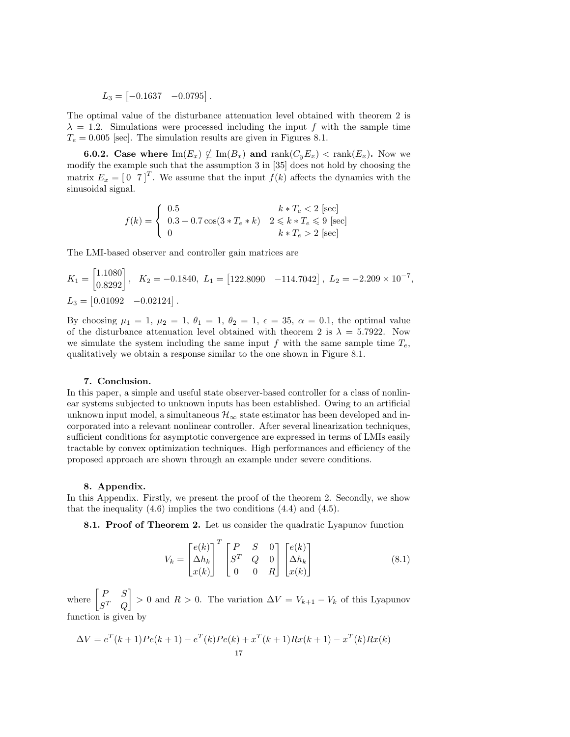$L_3 = \begin{bmatrix} -0.1637 & -0.0795 \end{bmatrix}$ .

The optimal value of the disturbance attenuation level obtained with theorem 2 is  $\lambda = 1.2$ . Simulations were processed including the input f with the sample time  $T_e = 0.005$  [sec]. The simulation results are given in Figures 8.1.

**6.0.2.** Case where  $\text{Im}(E_x) \nsubseteq \text{Im}(B_x)$  and  $\text{rank}(C_yE_x) < \text{rank}(E_x)$ . Now we modify the example such that the assumption 3 in [35] does not hold by choosing the matrix  $E_x = \begin{bmatrix} 0 & 7 \end{bmatrix}^T$ . We assume that the input  $f(k)$  affects the dynamics with the sinusoidal signal.

$$
f(k) = \begin{cases} 0.5 & k * T_e < 2 \text{ [sec]} \\ 0.3 + 0.7 \cos(3 * T_e * k) & 2 \leq k * T_e \leq 9 \text{ [sec]} \\ 0 & k * T_e > 2 \text{ [sec]} \end{cases}
$$

The LMI-based observer and controller gain matrices are

$$
K_1 = \begin{bmatrix} 1.1080 \\ 0.8292 \end{bmatrix}, \quad K_2 = -0.1840, \ L_1 = [122.8090 \quad -114.7042], \ L_2 = -2.209 \times 10^{-7},
$$
  

$$
L_3 = [0.01092 \quad -0.02124].
$$

By choosing  $\mu_1 = 1$ ,  $\mu_2 = 1$ ,  $\theta_1 = 1$ ,  $\theta_2 = 1$ ,  $\epsilon = 35$ ,  $\alpha = 0.1$ , the optimal value of the disturbance attenuation level obtained with theorem 2 is  $\lambda = 5.7922$ . Now we simulate the system including the same input f with the same sample time  $T_e$ , qualitatively we obtain a response similar to the one shown in Figure 8.1.

#### 7. Conclusion.

In this paper, a simple and useful state observer-based controller for a class of nonlinear systems subjected to unknown inputs has been established. Owing to an artificial unknown input model, a simultaneous  $\mathcal{H}_{\infty}$  state estimator has been developed and incorporated into a relevant nonlinear controller. After several linearization techniques, sufficient conditions for asymptotic convergence are expressed in terms of LMIs easily tractable by convex optimization techniques. High performances and efficiency of the proposed approach are shown through an example under severe conditions.

#### 8. Appendix.

In this Appendix. Firstly, we present the proof of the theorem 2. Secondly, we show that the inequality  $(4.6)$  implies the two conditions  $(4.4)$  and  $(4.5)$ .

8.1. Proof of Theorem 2. Let us consider the quadratic Lyapunov function

$$
V_k = \begin{bmatrix} e(k) \\ \Delta h_k \\ x(k) \end{bmatrix}^T \begin{bmatrix} P & S & 0 \\ S^T & Q & 0 \\ 0 & 0 & R \end{bmatrix} \begin{bmatrix} e(k) \\ \Delta h_k \\ x(k) \end{bmatrix} \tag{8.1}
$$

where  $\begin{bmatrix} P & S \\ cT & Q \end{bmatrix}$  $S^T$  Q  $\bigg\vert > 0$  and  $R > 0$ . The variation  $\Delta V = V_{k+1} - V_k$  of this Lyapunov function is given by

$$
\Delta V = e^{T}(k+1)Pe(k+1) - e^{T}(k)Pe(k) + x^{T}(k+1)Rx(k+1) - x^{T}(k)Rx(k)
$$
  
17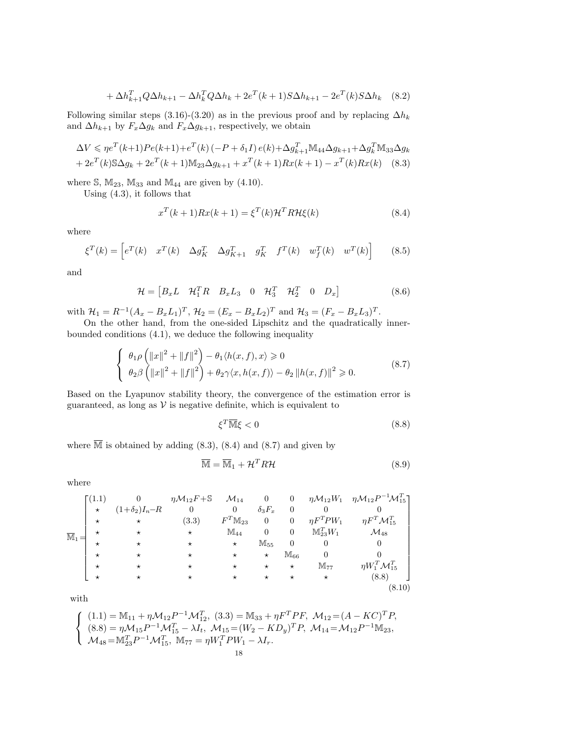$$
+\Delta h_{k+1}^T Q \Delta h_{k+1} - \Delta h_k^T Q \Delta h_k + 2e^T (k+1) S \Delta h_{k+1} - 2e^T (k) S \Delta h_k \quad (8.2)
$$

Following similar steps (3.16)-(3.20) as in the previous proof and by replacing  $\Delta h_k$ and  $\Delta h_{k+1}$  by  $F_x \Delta g_k$  and  $F_x \Delta g_{k+1}$ , respectively, we obtain

$$
\Delta V \leq \eta e^{T}(k+1)Pe(k+1) + e^{T}(k) (-P + \delta_{1}I) e(k) + \Delta g_{k+1}^{T} \mathbb{M}_{44} \Delta g_{k+1} + \Delta g_{k}^{T} \mathbb{M}_{33} \Delta g_{k} + 2e^{T}(k) \mathbb{S} \Delta g_{k} + 2e^{T}(k+1) \mathbb{M}_{23} \Delta g_{k+1} + x^{T}(k+1) Rx(k+1) - x^{T}(k) Rx(k)
$$
 (8.3)

where  $\mathbb{S}$ ,  $\mathbb{M}_{23}$ ,  $\mathbb{M}_{33}$  and  $\mathbb{M}_{44}$  are given by (4.10).

Using (4.3), it follows that

$$
x^{T}(k+1)Rx(k+1) = \xi^{T}(k)\mathcal{H}^{T}R\mathcal{H}\xi(k)
$$
\n(8.4)

where

$$
\xi^T(k) = \begin{bmatrix} e^T(k) & x^T(k) & \Delta g_K^T & \Delta g_{K+1}^T & g_K^T & f^T(k) & w_f^T(k) & w^T(k) \end{bmatrix} \tag{8.5}
$$

and

$$
\mathcal{H} = \begin{bmatrix} B_x L & \mathcal{H}_1^T R & B_x L_3 & 0 & \mathcal{H}_3^T & \mathcal{H}_2^T & 0 & D_x \end{bmatrix}
$$
 (8.6)

with  $\mathcal{H}_1 = R^{-1}(A_x - B_x L_1)^T$ ,  $\mathcal{H}_2 = (E_x - B_x L_2)^T$  and  $\mathcal{H}_3 = (F_x - B_x L_3)^T$ .

On the other hand, from the one-sided Lipschitz and the quadratically innerbounded conditions (4.1), we deduce the following inequality

$$
\begin{cases}\n\theta_1 \rho \left( \|x\|^2 + \|f\|^2 \right) - \theta_1 \langle h(x, f), x \rangle \ge 0 \\
\theta_2 \beta \left( \|x\|^2 + \|f\|^2 \right) + \theta_2 \gamma \langle x, h(x, f) \rangle - \theta_2 \|h(x, f)\|^2 \ge 0.\n\end{cases}
$$
\n(8.7)

Based on the Lyapunov stability theory, the convergence of the estimation error is guaranteed, as long as  $V$  is negative definite, which is equivalent to

$$
\xi^T \overline{\mathbb{M}} \xi < 0 \tag{8.8}
$$

where  $\overline{\mathbb{M}}$  is obtained by adding (8.3), (8.4) and (8.7) and given by

$$
\overline{\mathbb{M}} = \overline{\mathbb{M}}_1 + \mathcal{H}^T R \mathcal{H}
$$
\n(8.9)

where

$$
\overline{\mathbb{M}}_{1} = \begin{bmatrix}\n(1.1) & 0 & \eta \mathcal{M}_{12} F + \mathbb{S} & \mathcal{M}_{14} & 0 & 0 & \eta \mathcal{M}_{12} W_{1} & \eta \mathcal{M}_{12} P^{-1} \mathcal{M}_{15}^{T} \\
\star & \star & (3.3) & F^{T} \mathbb{M}_{23} & 0 & 0 & \eta F^{T} \mathcal{W}_{1} & \eta F^{T} \mathcal{M}_{15}^{T} \\
\star & \star & \star & \mathbb{M}_{44} & 0 & 0 & \mathbb{M}_{23}^{T} W_{1} & \mathcal{M}_{48} \\
\star & \star & \star & \star & \mathbb{M}_{55} & 0 & 0 & 0 \\
\star & \star & \star & \star & \star & \mathbb{M}_{66} & 0 & 0 \\
\star & \star & \star & \star & \star & \star & \mathbb{M}_{77} & \eta W_{1}^{T} \mathcal{M}_{15}^{T} \\
\star & \star & \star & \star & \star & \star & \star & \mathbb{M}_{77} & \eta W_{1}^{T} \mathcal{M}_{15}^{T}\n\end{bmatrix}
$$
\n
$$
\times \begin{bmatrix}\n(1.1) & 0 & \eta \mathcal{M}_{12} F + \mathbb{S} & \mathcal{M}_{14} & 0 & 0 & \eta \mathcal{M}_{12} W_{1} & \eta \mathcal{M}_{12} P^{-1} \mathcal{M}_{15}^{T} \\
\star & \star & \star & \mathbb{M}_{44} & 0 & 0 & \eta F^{T} \mathcal{W}_{1} & \mathcal{M}_{48} \\
\star & \star & \star & \star & \mathbb{M}_{55} & 0 & 0 & 0 \\
\star & \star & \star & \star & \star & \star & \mathbb{M}_{77} & \eta W_{1}^{T} \mathcal{M}_{15}^{T}\n\end{bmatrix}
$$
\n
$$
\times \begin{bmatrix}\n(8.8) & 0 & 0 & 0 & 0 \\
\star & \star & \star & \star & \star & \star \\
\star & \star & \star & \star & \star & \star \\
\star & \star & \star & \star & \star & \star \\
\star & \star & \star & \star & \star & \star \\
\star & \star & \star & \star &
$$

with

$$
\begin{cases}\n(1.1) = \mathbb{M}_{11} + \eta \mathcal{M}_{12} P^{-1} \mathcal{M}_{12}^T, (3.3) = \mathbb{M}_{33} + \eta F^T P F, \ \mathcal{M}_{12} = (A - KC)^T P, \\
(8.8) = \eta \mathcal{M}_{15} P^{-1} \mathcal{M}_{15}^T - \lambda I_t, \ \mathcal{M}_{15} = (W_2 - KD_y)^T P, \ \mathcal{M}_{14} = \mathcal{M}_{12} P^{-1} \mathbb{M}_{23}, \\
\mathcal{M}_{48} = \mathbb{M}_{23}^T P^{-1} \mathcal{M}_{15}^T, \ \mathbb{M}_{77} = \eta W_1^T P W_1 - \lambda I_r.\n\end{cases}
$$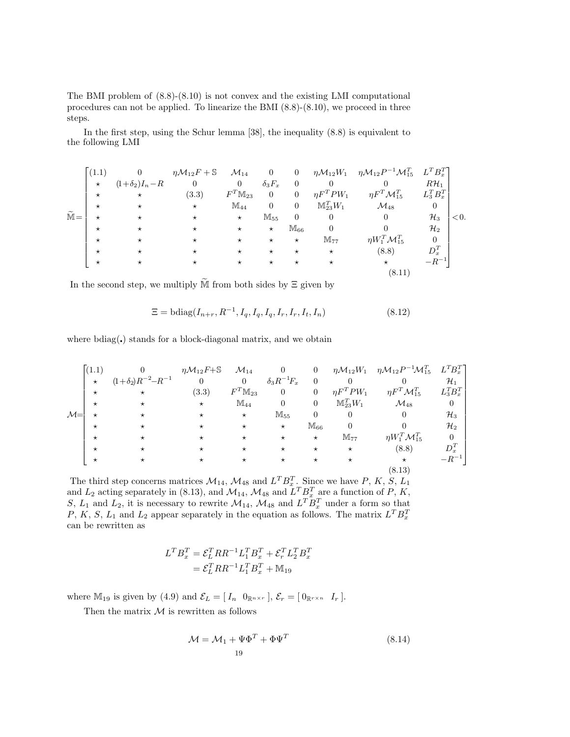The BMI problem of (8.8)-(8.10) is not convex and the existing LMI computational procedures can not be applied. To linearize the BMI (8.8)-(8.10), we proceed in three steps.

In the first step, using the Schur lemma [38], the inequality (8.8) is equivalent to the following LMI

$$
\widetilde{\mathbb{M}} = \begin{bmatrix}\n(1.1) & 0 & \eta \mathcal{M}_{12} F + \mathbb{S} & \mathcal{M}_{14} & 0 & 0 & \eta \mathcal{M}_{12} W_{1} & \eta \mathcal{M}_{12} P^{-1} \mathcal{M}_{15}^{T} & L^{T} B_{x}^{T} \\
\star & \star & (3.3) & F^{T} \mathbb{M}_{23} & 0 & 0 & \eta F^{T} P W_{1} & \eta F^{T} \mathcal{M}_{15}^{T} & L_{3}^{T} B_{x}^{T} \\
\star & \star & \star & \star & \mathbb{M}_{44} & 0 & 0 & \mathbb{M}_{23}^{T} W_{1} & \mathcal{M}_{48} & 0 \\
\star & \star & \star & \star & \star & \mathbb{M}_{55} & 0 & 0 & 0 & \mathcal{H}_{3} \\
\star & \star & \star & \star & \star & \star & \mathbb{M}_{66} & 0 & 0 & \mathcal{H}_{2} \\
\star & \star & \star & \star & \star & \star & \star & \mathbb{M}_{77} & \eta W_{1}^{T} \mathcal{M}_{15}^{T} & 0 \\
\star & \star & \star & \star & \star & \star & \star & \mathbb{M}_{77} & \eta W_{1}^{T} \mathcal{M}_{15}^{T} & 0 \\
\star & \star & \star & \star & \star & \star & \star & \mathbb{M}_{88} & D_{x}^{T} \\
\star & \star & \star & \star & \star & \star & \star & \mathbb{M}_{96} & D_{x}^{T} \\
\star & \star & \star & \star & \star & \star & \star & \mathbb{M}_{177} & \eta W_{1}^{T} \mathcal{M}_{15}^{T} & 0 \\
\star & \star & \star & \star & \star & \star & \mathbb{M}_{177} & \eta W_{1}^{T} \mathcal{M}_{15}^{T} & 0 \\
\star & \star & \star & \star & \star & \star & \mathbb{M}_{177} & \eta W_{1}^{T} \mathcal{M}_{15}^{T} & 0 \\
\star & \star & \star & \star & \star & \mathbb{M}_{178} & \eta W_{15}^{T} \mathcal{M}_{15}^{T} & 0 \\
\star & \star & \star & \star &
$$

In the second step, we multiply  $\widetilde{M}$  from both sides by  $\Xi$  given by

$$
\Xi = \text{bdiag}(I_{n+r}, R^{-1}, I_q, I_q, I_q, I_r, I_r, I_t, I_n) \tag{8.12}
$$

where  $bdiag(.)$  stands for a block-diagonal matrix, and we obtain

|               | (1.1)    |                             | $\eta \mathcal{M}_{12}F + \mathbb{S}$ | ${\cal M}_{14}$       |                       | $\overline{0}$ |                          | $\eta \mathcal{M}_{12}W_1$ $\eta \mathcal{M}_{12}P^{-1}\mathcal{M}_{15}^T$ $L^T B_x^T$ |                 |
|---------------|----------|-----------------------------|---------------------------------------|-----------------------|-----------------------|----------------|--------------------------|----------------------------------------------------------------------------------------|-----------------|
|               | $\star$  | $(1+\delta_2)R^{-2}-R^{-1}$ | $\overline{0}$                        | $\overline{0}$        | $\delta_3R^{-1}\!F_x$ | $\overline{0}$ | $\theta$                 |                                                                                        | $\mathcal{H}_1$ |
|               | $\star$  | $\star$                     | (3.3)                                 | $F^T \mathbb{M}_{23}$ | $\overline{0}$        | $\overline{0}$ | $\eta F^T P W_1$         | $\eta F^T {\cal M}_{15}^T$                                                             | $L_3^T B_x^T$   |
|               | $^\star$ |                             | $\star$                               | $M_{44}$              | $\overline{0}$        | $\mathbf{0}$   | $\mathbb{M}_{23}^{T}W_1$ | $\mathcal{M}_{48}$                                                                     | $\overline{0}$  |
| $\mathcal{M}$ |          | $^\star$                    | $^\star$                              | $\star$               | $M_{55}$              | $\overline{0}$ | $\theta$                 | $\theta$                                                                               | $\mathcal{H}_3$ |
|               | $\star$  |                             | $\star$                               | $^{\star}$            | $\star$               | $M_{66}$       |                          |                                                                                        | $\mathcal{H}_2$ |
|               | $\star$  | $^\star$                    | $^\star$                              | $\star$               | $^{\star}$            | $\star$        | $M_{77}$                 | $\eta W_1^T \mathcal{M}_{15}^T$                                                        | $\overline{0}$  |
|               | $\star$  |                             | $^\star$                              | $^{\star}$            | $^\star$              | $^{\star}$     | $\star$                  | (8.8)                                                                                  | $D_x^T$         |
|               | $\star$  |                             | $^{\star}$                            | $\star$               | $^\star$              | $\star$        | $\star$                  | $\star$                                                                                | $-R^{-1}$       |
|               |          |                             |                                       |                       |                       |                |                          | (8.13)                                                                                 |                 |

The third step concerns matrices  $\mathcal{M}_{14}$ ,  $\mathcal{M}_{48}$  and  $L^T B_x^T$ . Since we have P, K, S, L<sub>1</sub> and  $L_2$  acting separately in (8.13), and  $\mathcal{M}_{14}$ ,  $\mathcal{M}_{48}$  and  $L^T B_x^T$  are a function of P, K, S,  $L_1$  and  $L_2$ , it is necessary to rewrite  $\mathcal{M}_{14}$ ,  $\mathcal{M}_{48}$  and  $L^T B_x^T$  under a form so that P, K, S, L<sub>1</sub> and L<sub>2</sub> appear separately in the equation as follows. The matrix  $L^T B_x^T$ can be rewritten as

$$
L^T B_x^T = \mathcal{E}_L^T R R^{-1} L_1^T B_x^T + \mathcal{E}_r^T L_2^T B_x^T
$$
  
= 
$$
\mathcal{E}_L^T R R^{-1} L_1^T B_x^T + \mathbb{M}_{19}
$$

where  $\mathbb{M}_{19}$  is given by (4.9) and  $\mathcal{E}_L = [I_n \ 0_{\mathbb{R}^{n \times r}}], \mathcal{E}_r = [0_{\mathbb{R}^{r \times n}} \ I_r].$ 

Then the matrix  $M$  is rewritten as follows

$$
\mathcal{M} = \mathcal{M}_1 + \Psi \Phi^T + \Phi \Psi^T
$$
\n<sup>(8.14)</sup>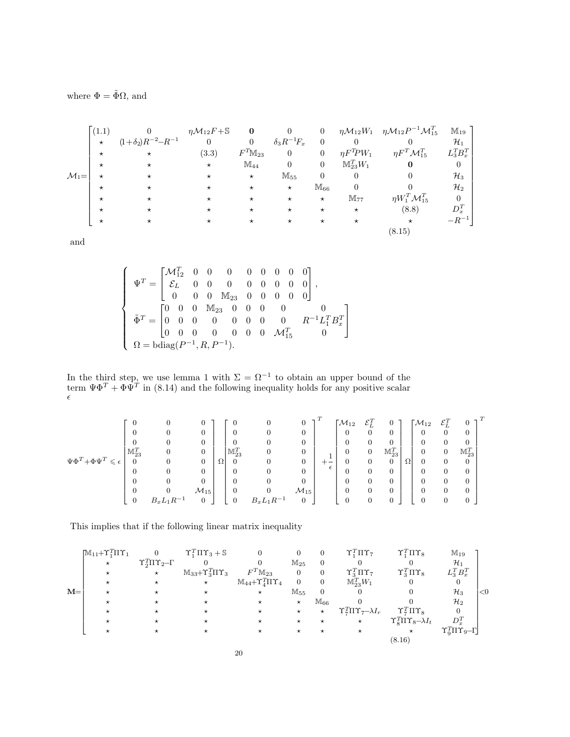where  $\Phi = \tilde{\Phi}\Omega$ , and

|                   | (1.1)      |                             | $\eta \mathcal{M}_{12} F + \mathbb{S}$ | $\bf{0}$     |                      | $\overline{0}$ |                        | $\eta \mathcal{M}_{12}W_1$ $\eta \mathcal{M}_{12}P^{-1}\mathcal{M}_{15}^T$ | $\mathbb{M}_{19}$ |
|-------------------|------------|-----------------------------|----------------------------------------|--------------|----------------------|----------------|------------------------|----------------------------------------------------------------------------|-------------------|
|                   | $^{\star}$ | $(1+\delta_2)R^{-2}-R^{-1}$ | $\theta$                               | $\theta$     | $\delta_3 R^{-1}F_x$ | $\overline{0}$ |                        |                                                                            | $\mathcal{H}_1$   |
|                   | $^{\star}$ | $\star$                     | (3.3)                                  | $F^T M_{23}$ | $\overline{0}$       | $\overline{0}$ | $\eta F^T\!PW_1$       | $\eta F^T {\cal M}_{15}^T$                                                 | $L_3^TB_x^T$      |
|                   | $\star$    | $^\star$                    | $\star$                                | $M_{44}$     | $\Omega$             | $\overline{0}$ | $\mathbb{M}_{23}^TW_1$ | $\bf{0}$                                                                   | $\overline{0}$    |
| $\mathcal{M}_1 =$ | $\star$    | $^{\star}$                  | $^\star$                               | $\star$      | $M_{55}$             | $\theta$       | $\overline{0}$         |                                                                            | $\mathcal{H}_3$   |
|                   | $\star$    | $^\star$                    | $^{\star}$                             | $\star$      | $\star$              | $M_{66}$       |                        |                                                                            | $\mathcal{H}_2$   |
|                   | $\star$    | $^\star$                    | $^\star$                               | $^\star$     | $\star$              | $\star$        | $M_{77}$               | $\eta W_1^T {\cal M}_{15}^T$                                               | $\boldsymbol{0}$  |
|                   | $^{\star}$ | $^\star$                    | $^\star$                               | $^\star$     | $\star$              | $\star$        | $\star$                | (8.8)                                                                      | $D_x^T$           |
|                   | $^\star$   | $^\star$                    | $^\star$                               | $^\star$     | $\star$              | $\star$        | $^{\star}$             | $\star$                                                                    | $-R^{-1}$         |
|                   |            |                             |                                        |              |                      |                |                        | (8.15)                                                                     |                   |

and

$$
\left\{ \begin{array}{l} \Psi^T = \begin{bmatrix} \mathcal{M}^T_{12} & 0 & 0 & 0 & 0 & 0 & 0 & 0 & 0 \\ \mathcal{E}_L & 0 & 0 & 0 & 0 & 0 & 0 & 0 & 0 \\ 0 & 0 & 0 & \mathbb{M}_{23} & 0 & 0 & 0 & 0 & 0 \\ \tilde{\Phi}^T = \begin{bmatrix} 0 & 0 & 0 & \mathbb{M}_{23} & 0 & 0 & 0 & 0 & 0 & 0 \\ 0 & 0 & 0 & 0 & 0 & 0 & 0 & 0 & 0 & 0 \\ 0 & 0 & 0 & 0 & 0 & 0 & 0 & \mathcal{M}_{15}^T & 0 \end{bmatrix} & \mathbf{\Omega} = \text{bdiag}(P^{-1}, R, P^{-1}). \end{array} \right.
$$

In the third step, we use lemma 1 with  $\Sigma = \Omega^{-1}$  to obtain an upper bound of the term  $\Psi \Phi^T + \Phi \Psi^T$  in (8.14) and the following inequality holds for any positive scalar  $\epsilon$ 

|                                            |                     |                                     |                    |          |                     | U              | 0                  | $\tau$     | $\mathcal{M}_{12}$ | $\mathcal{E}_L^T$ | $\mathbf{0}$          |   | $\mathsf{\Gamma}{\mathcal{M}}_{12}$ | $\mathcal{E}_I^T$ | $\tau$<br>$\theta$  |  |
|--------------------------------------------|---------------------|-------------------------------------|--------------------|----------|---------------------|----------------|--------------------|------------|--------------------|-------------------|-----------------------|---|-------------------------------------|-------------------|---------------------|--|
|                                            |                     | 0                                   | 0                  |          | 0                   | O              | $\overline{0}$     |            | O                  | 0                 | $\overline{0}$        |   |                                     | 0                 | $\theta$            |  |
|                                            |                     | 0                                   | 0                  |          | 0                   | U              | 0                  |            | U                  |                   | 0                     |   |                                     |                   | 0                   |  |
|                                            | $\mathbb{M}_{23}^T$ |                                     | 0                  |          | $\mathbb{M}_{23}^T$ | O              | 0                  |            | 0                  |                   | $\mathbb{M}_{23}^{T}$ |   |                                     |                   | $\mathbb{M}_{23}^T$ |  |
| $\Psi\Phi^T {+} \Phi \Psi^T$<br>$\epsilon$ | 0                   | 0                                   | 0                  | $\Omega$ | U                   | U              | 0                  | $+ -$      | O                  |                   | $\boldsymbol{0}$      | Ω |                                     |                   |                     |  |
|                                            |                     |                                     |                    |          |                     | O              | 0                  | $\epsilon$ | 0                  |                   | $\overline{0}$        |   |                                     |                   | $\theta$            |  |
|                                            |                     |                                     | 0                  |          |                     | O              | 0                  |            | 0                  |                   | $\overline{0}$        |   |                                     |                   | $\theta$            |  |
|                                            |                     | 0                                   | $\mathcal{M}_{15}$ |          |                     | O              | $\mathcal{M}_{15}$ |            | 0                  | 0                 | $\overline{0}$        |   |                                     |                   | $\theta$            |  |
|                                            | 0                   | $_{c}L_{1}R^{-1}$<br>B <sub>x</sub> | 0                  |          | 0                   | $B_xL_1R^{-1}$ | $\mathbf{0}$       |            | 0                  |                   | $\mathbf{0}$          |   |                                     |                   | $\theta$            |  |

This implies that if the following linear matrix inequality

|       | $\mathbb{M}_{11} + \Upsilon_1^T \Pi \Upsilon_1$ |                                    | $\Upsilon_1^T\Pi\Upsilon_3+\mathbb{S}$ | $\overline{0}$                                |                | $\theta$       | $\Upsilon_1^T \Pi \Upsilon_7$               | $\Upsilon_1^T \Pi \Upsilon_8$                   | $M_{19}$                                     |       |
|-------|-------------------------------------------------|------------------------------------|----------------------------------------|-----------------------------------------------|----------------|----------------|---------------------------------------------|-------------------------------------------------|----------------------------------------------|-------|
|       | $\star$                                         | $\Upsilon_2^T\Pi\Upsilon_2-\Gamma$ |                                        | 0                                             | $M_{25}$       | $\theta$       |                                             |                                                 | $\mathcal{H}_1$                              |       |
|       | $\star$                                         | $\star$                            | $M_{33} + \Upsilon_3^T \Pi \Upsilon_3$ | $F^T \mathbb{M}_{23}$                         | $\overline{0}$ | $\overline{0}$ | $\Upsilon_2^T \Pi \Upsilon_7$               | $\Upsilon_3^T \Pi \Upsilon_8$                   | $L_3^TB_x^T$                                 |       |
|       | $\star$                                         | $\star$                            | $\star$                                | $\mathbb{M}_{{44}}+\Upsilon_4^T\Pi\Upsilon_4$ | $\Omega$       | $\overline{0}$ | $\mathbb{M}_{23}^{T}W_1$                    |                                                 |                                              |       |
| $M =$ |                                                 |                                    |                                        | $\star$                                       | $M_{55}$       | $\Omega$       |                                             |                                                 | $\mathcal{H}_3$                              | $<$ 0 |
|       | $^\star$                                        |                                    |                                        | $^\star$                                      | $^{\star}$     | $M_{66}$       |                                             |                                                 | $\mathcal{H}_2$                              |       |
|       |                                                 |                                    |                                        | $^\star$                                      | $\star$        | $\star$        | $\Upsilon_7^T \Pi \Upsilon_7 - \lambda I_r$ | $\Upsilon_7^T \Pi \Upsilon_8$                   |                                              |       |
|       | $\star$                                         |                                    |                                        | *                                             | $\star$        | $^{\star}$     | $\star$                                     | $\Upsilon_{8}^{T}\Pi\Upsilon_{8}-\lambda I_{t}$ | $D_x^T$                                      |       |
|       |                                                 |                                    |                                        |                                               |                |                |                                             |                                                 | $\Upsilon_{\rm o}^T\Pi\Upsilon_{9}-\Gamma$ J |       |
|       |                                                 |                                    |                                        |                                               |                |                |                                             | (8.16)                                          |                                              |       |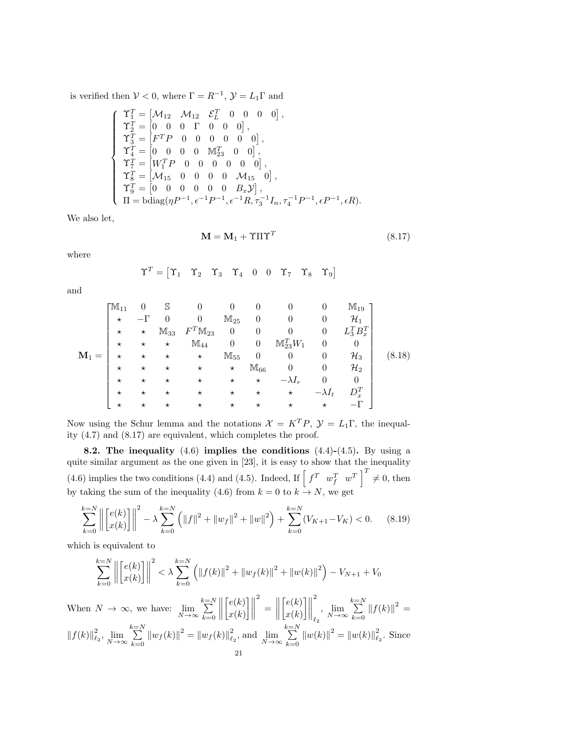is verified then  $V < 0$ , where  $\Gamma = R^{-1}$ ,  $\mathcal{Y} = L_1 \Gamma$  and

$$
\left\{\begin{array}{lll} \Upsilon_1^T = \begin{bmatrix} \mathcal{M}_{12} & \mathcal{M}_{12} & \mathcal{E}_L^T & 0 & 0 & 0 & 0 \end{bmatrix}, \\ \Upsilon_2^T = \begin{bmatrix} 0 & 0 & 0 & \Gamma & 0 & 0 & 0 \end{bmatrix}, \\ \Upsilon_3^T = \begin{bmatrix} F^T P & 0 & 0 & 0 & 0 & 0 & 0 \end{bmatrix}, \\ \Upsilon_4^T = \begin{bmatrix} 0 & 0 & 0 & 0 & \mathbb{M}_{23}^T & 0 & 0 \end{bmatrix}, \\ \Upsilon_5^T = \begin{bmatrix} W_1^T P & 0 & 0 & 0 & 0 & 0 & 0 \end{bmatrix}, \\ \Upsilon_8^T = \begin{bmatrix} \mathcal{M}_{15} & 0 & 0 & 0 & 0 & \mathcal{M}_{15} & 0 \end{bmatrix}, \\ \Upsilon_9^T = \begin{bmatrix} 0 & 0 & 0 & 0 & 0 & 0 & \mathcal{B}_x \mathcal{Y} \end{bmatrix}, \\ \Pi = \text{bdiag}(\eta P^{-1}, \epsilon^{-1} P^{-1}, \epsilon^{-1} R, \tau_3^{-1} I_n, \tau_4^{-1} P^{-1}, \epsilon P^{-1}, \epsilon R). \end{array} \right.
$$

We also let,

$$
\mathbf{M} = \mathbf{M}_1 + \Upsilon \Pi \Upsilon^T \tag{8.17}
$$

where

$$
\Upsilon^T = \begin{bmatrix} \Upsilon_1 & \Upsilon_2 & \Upsilon_3 & \Upsilon_4 & 0 & 0 & \Upsilon_7 & \Upsilon_8 & \Upsilon_9 \end{bmatrix}
$$

and

$$
\mathbf{M}_{1} = \begin{bmatrix} \mathbb{M}_{11} & 0 & \mathbb{S} & 0 & 0 & 0 & 0 & 0 & \mathbb{M}_{19} \\ \star & -\Gamma & 0 & 0 & \mathbb{M}_{25} & 0 & 0 & 0 & \mathcal{H}_{1} \\ \star & \star & \mathbb{M}_{33} & F^{T} \mathbb{M}_{23} & 0 & 0 & 0 & 0 & L_{3}^{T} B_{x}^{T} \\ \star & \star & \star & \mathbb{M}_{44} & 0 & 0 & \mathbb{M}_{23}^{T} W_{1} & 0 & 0 \\ \star & \star & \star & \star & \mathbb{M}_{55} & 0 & 0 & 0 & \mathcal{H}_{3} \\ \star & \star & \star & \star & \star & \mathbb{M}_{66} & 0 & 0 & \mathcal{H}_{2} \\ \star & \star & \star & \star & \star & \star & \star & -\lambda I_{r} & 0 & 0 \\ \star & \star & \star & \star & \star & \star & \star & \star & -\lambda I_{t} & D_{x}^{T} \\ \star & \star & \star & \star & \star & \star & \star & \star & \star & \star & -\Gamma \end{bmatrix} \qquad (8.18)
$$

Now using the Schur lemma and the notations  $\mathcal{X} = K^T P$ ,  $\mathcal{Y} = L_1 \Gamma$ , the inequality (4.7) and (8.17) are equivalent, which completes the proof.

8.2. The inequality  $(4.6)$  implies the conditions  $(4.4)-(4.5)$ . By using a quite similar argument as the one given in [23], it is easy to show that the inequality (4.6) implies the two conditions (4.4) and (4.5). Indeed, If  $\begin{bmatrix} f^T & w_f^T & w^T \end{bmatrix}^T \neq 0$ , then by taking the sum of the inequality (4.6) from  $k = 0$  to  $k \to N$ , we get

$$
\sum_{k=0}^{k=N} \left\| \begin{bmatrix} e(k) \\ x(k) \end{bmatrix} \right\|^2 - \lambda \sum_{k=0}^{k=N} \left( \|f\|^2 + \|w_f\|^2 + \|w\|^2 \right) + \sum_{k=0}^{k=N} (V_{K+1} - V_K) < 0. \tag{8.19}
$$

which is equivalent to

$$
\sum_{k=0}^{k=N} \left\| \begin{bmatrix} e(k) \\ x(k) \end{bmatrix} \right\|^2 < \lambda \sum_{k=0}^{k=N} \left( \left\| f(k) \right\|^2 + \left\| w_f(k) \right\|^2 + \left\| w(k) \right\|^2 \right) - V_{N+1} + V_0
$$

When  $N \to \infty$ , we have:  $\lim_{N \to \infty}$  $\sum_{i=1}^{k=N}$  $k=0$   $\lceil e(k) \rceil$  $x(k)$  $\mathbb{R}$ 2  $=\left\| \right\|$  $\lceil e(k) \rceil$  $x(k)$  $\rfloor\Vert$ 2  $\ell_2$  $\lim_{N\to\infty}$  $\sum_{i=1}^{k=N}$  $k=0$  $\|f(k)\|^2 =$  $\left\Vert f(k)\right\Vert _{\ell_{2}}^{2},\lim_{N\rightarrow\infty}% \left\Vert \mathcal{H}_{\ell_{1}\left( n\right) }\right\Vert _{\ell_{1}\left( n\right) }^{2}.$  $\sum_{i=1}^{k=N}$  $\sum_{k=0}^{\infty} \|w_f(k)\|^2 = \|w_f(k)\|^2_{\ell^2}$  $\frac{2}{\ell_2}$ , and  $\lim_{N \to \infty}$  $\sum_{i=1}^{k=N}$  $k=0$  $\|w(k)\|^2 = \|w(k)\|_{\ell_2}^2$ . Since 21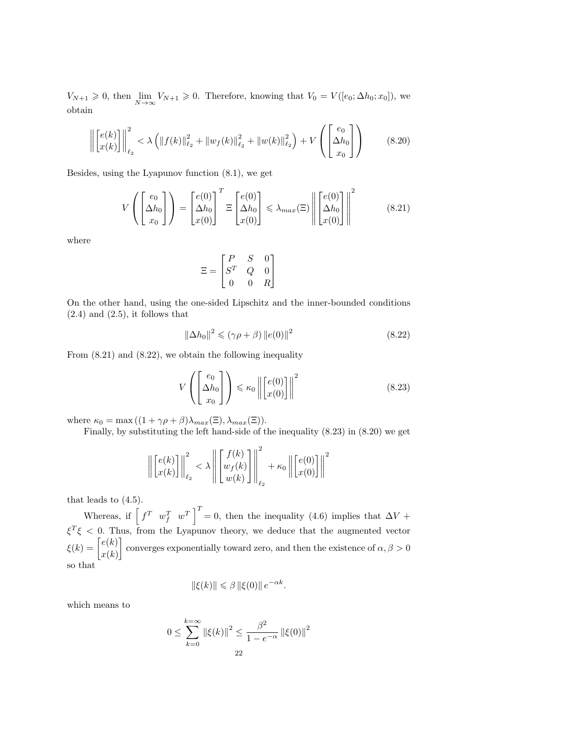$V_{N+1} \geq 0$ , then  $\lim_{N \to \infty} V_{N+1} \geq 0$ . Therefore, knowing that  $V_0 = V([e_0; \Delta h_0; x_0])$ , we obtain

$$
\left\| \begin{bmatrix} e(k) \\ x(k) \end{bmatrix} \right\|_{\ell_2}^2 < \lambda \left( \|f(k)\|_{\ell_2}^2 + \|w_f(k)\|_{\ell_2}^2 + \|w(k)\|_{\ell_2}^2 \right) + V \left( \begin{bmatrix} e_0 \\ \Delta h_0 \\ x_0 \end{bmatrix} \right)
$$
(8.20)

Besides, using the Lyapunov function (8.1), we get

$$
V\left(\begin{bmatrix} e_0\\ \Delta h_0\\ x_0 \end{bmatrix}\right) = \begin{bmatrix} e(0)\\ \Delta h_0\\ x(0) \end{bmatrix}^T \Xi \begin{bmatrix} e(0)\\ \Delta h_0\\ x(0) \end{bmatrix} \le \lambda_{max}(\Xi) \left\| \begin{bmatrix} e(0)\\ \Delta h_0\\ x(0) \end{bmatrix} \right\|^2 \tag{8.21}
$$

where

$$
\Xi = \begin{bmatrix} P & S & 0 \\ S^T & Q & 0 \\ 0 & 0 & R \end{bmatrix}
$$

On the other hand, using the one-sided Lipschitz and the inner-bounded conditions  $(2.4)$  and  $(2.5)$ , it follows that

$$
\left\|\Delta h_0\right\|^2 \leqslant \left(\gamma \rho + \beta\right) \left\|e(0)\right\|^2 \tag{8.22}
$$

From (8.21) and (8.22), we obtain the following inequality

$$
V\left(\begin{bmatrix}e_0\\ \Delta h_0\\ x_0\end{bmatrix}\right) \leq \kappa_0 \left\| \begin{bmatrix}e(0)\\ x(0)\end{bmatrix} \right\|^2 \tag{8.23}
$$

where  $\kappa_0 = \max((1 + \gamma \rho + \beta)\lambda_{max}(\Xi), \lambda_{max}(\Xi)).$ 

Finally, by substituting the left hand-side of the inequality (8.23) in (8.20) we get

$$
\left\| \begin{bmatrix} e(k) \\ x(k) \end{bmatrix} \right\|_{\ell_2}^2 < \lambda \left\| \begin{bmatrix} f(k) \\ w_f(k) \\ w(k) \end{bmatrix} \right\|_{\ell_2}^2 + \kappa_0 \left\| \begin{bmatrix} e(0) \\ x(0) \end{bmatrix} \right\|^2
$$

that leads to (4.5).

Whereas, if  $\begin{bmatrix} f^T & w_f^T & w^T \end{bmatrix}^T = 0$ , then the inequality (4.6) implies that  $\Delta V$  +  $\xi^T \xi < 0$ . Thus, from the Lyapunov theory, we deduce that the augmented vector  $\xi(k) = \begin{bmatrix} e(k) \\ e(k) \end{bmatrix}$  $x(k)$ converges exponentially toward zero, and then the existence of  $\alpha, \beta > 0$ so that

$$
\|\xi(k)\| \leq \beta \, \|\xi(0)\| \, e^{-\alpha k}.
$$

which means to

$$
0 \le \sum_{k=0}^{k=\infty} \|\xi(k)\|^2 \le \frac{\beta^2}{1 - e^{-\alpha}} \left\|\xi(0)\right\|^2
$$
  
22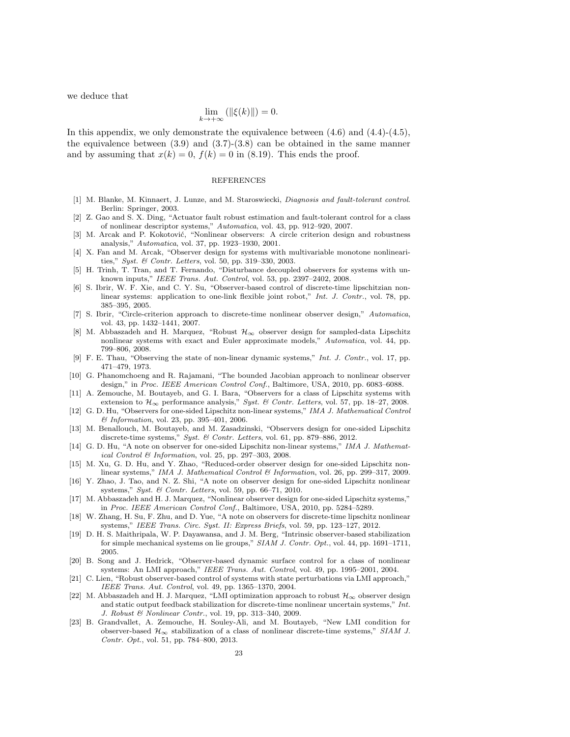we deduce that

$$
\lim_{k \to +\infty} \left( \| \xi(k) \| \right) = 0.
$$

In this appendix, we only demonstrate the equivalence between  $(4.6)$  and  $(4.4)-(4.5)$ , the equivalence between  $(3.9)$  and  $(3.7)-(3.8)$  can be obtained in the same manner and by assuming that  $x(k) = 0$ ,  $f(k) = 0$  in (8.19). This ends the proof.

#### REFERENCES

- [1] M. Blanke, M. Kinnaert, J. Lunze, and M. Staroswiecki, Diagnosis and fault-tolerant control. Berlin: Springer, 2003.
- [2] Z. Gao and S. X. Ding, "Actuator fault robust estimation and fault-tolerant control for a class of nonlinear descriptor systems," Automatica, vol. 43, pp. 912–920, 2007.
- [3] M. Arcak and P. Kokotović, "Nonlinear observers: A circle criterion design and robustness analysis," Automatica, vol. 37, pp. 1923–1930, 2001.
- [4] X. Fan and M. Arcak, "Observer design for systems with multivariable monotone nonlinearities," Syst. & Contr. Letters, vol. 50, pp. 319–330, 2003.
- [5] H. Trinh, T. Tran, and T. Fernando, "Disturbance decoupled observers for systems with unknown inputs," IEEE Trans. Aut. Control, vol. 53, pp. 2397–2402, 2008.
- [6] S. Ibrir, W. F. Xie, and C. Y. Su, "Observer-based control of discrete-time lipschitzian nonlinear systems: application to one-link flexible joint robot," Int. J. Contr., vol. 78, pp. 385–395, 2005.
- [7] S. Ibrir, "Circle-criterion approach to discrete-time nonlinear observer design," Automatica, vol. 43, pp. 1432–1441, 2007.
- [8] M. Abbaszadeh and H. Marquez, "Robust  $\mathcal{H}_{\infty}$  observer design for sampled-data Lipschitz nonlinear systems with exact and Euler approximate models," Automatica, vol. 44, pp. 799–806, 2008.
- [9] F. E. Thau, "Observing the state of non-linear dynamic systems," Int. J. Contr., vol. 17, pp. 471–479, 1973.
- [10] G. Phanomchoeng and R. Rajamani, "The bounded Jacobian approach to nonlinear observer design," in Proc. IEEE American Control Conf., Baltimore, USA, 2010, pp. 6083–6088.
- [11] A. Zemouche, M. Boutayeb, and G. I. Bara, "Observers for a class of Lipschitz systems with extension to  $\mathcal{H}_{\infty}$  performance analysis," Syst. & Contr. Letters, vol. 57, pp. 18–27, 2008.
- [12] G. D. Hu, "Observers for one-sided Lipschitz non-linear systems," IMA J. Mathematical Control & Information, vol. 23, pp. 395–401, 2006.
- [13] M. Benallouch, M. Boutayeb, and M. Zasadzinski, "Observers design for one-sided Lipschitz discrete-time systems," Syst. & Contr. Letters, vol. 61, pp. 879–886, 2012.
- [14] G. D. Hu, "A note on observer for one-sided Lipschitz non-linear systems," IMA J. Mathematical Control & Information, vol. 25, pp. 297–303, 2008.
- [15] M. Xu, G. D. Hu, and Y. Zhao, "Reduced-order observer design for one-sided Lipschitz nonlinear systems," IMA J. Mathematical Control & Information, vol. 26, pp. 299–317, 2009.
- [16] Y. Zhao, J. Tao, and N. Z. Shi, "A note on observer design for one-sided Lipschitz nonlinear systems," Syst. & Contr. Letters, vol. 59, pp. 66–71, 2010.
- [17] M. Abbaszadeh and H. J. Marquez, "Nonlinear observer design for one-sided Lipschitz systems," in Proc. IEEE American Control Conf., Baltimore, USA, 2010, pp. 5284–5289.
- [18] W. Zhang, H. Su, F. Zhu, and D. Yue, "A note on observers for discrete-time lipschitz nonlinear systems," IEEE Trans. Circ. Syst. II: Express Briefs, vol. 59, pp. 123–127, 2012.
- [19] D. H. S. Maithripala, W. P. Dayawansa, and J. M. Berg, "Intrinsic observer-based stabilization for simple mechanical systems on lie groups," SIAM J. Contr. Opt., vol. 44, pp. 1691–1711, 2005.
- [20] B. Song and J. Hedrick, "Observer-based dynamic surface control for a class of nonlinear systems: An LMI approach," IEEE Trans. Aut. Control, vol. 49, pp. 1995–2001, 2004.
- [21] C. Lien, "Robust observer-based control of systems with state perturbations via LMI approach," IEEE Trans. Aut. Control, vol. 49, pp. 1365–1370, 2004.
- [22] M. Abbaszadeh and H. J. Marquez, "LMI optimization approach to robust  $\mathcal{H}_{\infty}$  observer design and static output feedback stabilization for discrete-time nonlinear uncertain systems," Int. J. Robust & Nonlinear Contr., vol. 19, pp. 313–340, 2009.
- [23] B. Grandvallet, A. Zemouche, H. Souley-Ali, and M. Boutayeb, "New LMI condition for observer-based  $\mathcal{H}_{\infty}$  stabilization of a class of nonlinear discrete-time systems," SIAM J. Contr. Opt., vol. 51, pp. 784–800, 2013.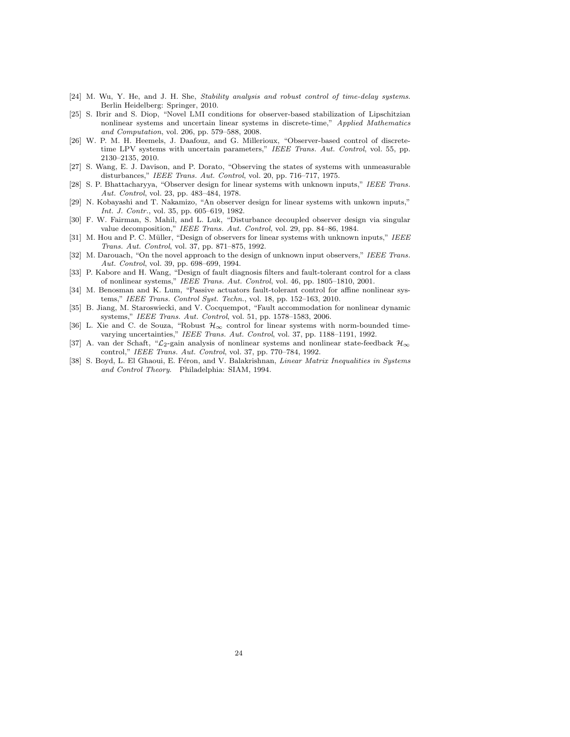- [24] M. Wu, Y. He, and J. H. She, Stability analysis and robust control of time-delay systems. Berlin Heidelberg: Springer, 2010.
- [25] S. Ibrir and S. Diop, "Novel LMI conditions for observer-based stabilization of Lipschitzian nonlinear systems and uncertain linear systems in discrete-time," Applied Mathematics and Computation, vol. 206, pp. 579–588, 2008.
- [26] W. P. M. H. Heemels, J. Daafouz, and G. Millerioux, "Observer-based control of discretetime LPV systems with uncertain parameters," IEEE Trans. Aut. Control, vol. 55, pp. 2130–2135, 2010.
- [27] S. Wang, E. J. Davison, and P. Dorato, "Observing the states of systems with unmeasurable disturbances," IEEE Trans. Aut. Control, vol. 20, pp. 716–717, 1975.
- [28] S. P. Bhattacharyya, "Observer design for linear systems with unknown inputs," IEEE Trans. Aut. Control, vol. 23, pp. 483–484, 1978.
- [29] N. Kobayashi and T. Nakamizo, "An observer design for linear systems with unkown inputs," Int. J. Contr., vol. 35, pp. 605–619, 1982.
- [30] F. W. Fairman, S. Mahil, and L. Luk, "Disturbance decoupled observer design via singular value decomposition," IEEE Trans. Aut. Control, vol. 29, pp. 84–86, 1984.
- [31] M. Hou and P. C. Müller, "Design of observers for linear systems with unknown inputs," IEEE Trans. Aut. Control, vol. 37, pp. 871–875, 1992.
- [32] M. Darouach, "On the novel approach to the design of unknown input observers," IEEE Trans. Aut. Control, vol. 39, pp. 698–699, 1994.
- [33] P. Kabore and H. Wang, "Design of fault diagnosis filters and fault-tolerant control for a class of nonlinear systems," IEEE Trans. Aut. Control, vol. 46, pp. 1805–1810, 2001.
- [34] M. Benosman and K. Lum, "Passive actuators fault-tolerant control for affine nonlinear systems," IEEE Trans. Control Syst. Techn., vol. 18, pp. 152–163, 2010.
- [35] B. Jiang, M. Staroswiecki, and V. Cocquempot, "Fault accommodation for nonlinear dynamic systems," IEEE Trans. Aut. Control, vol. 51, pp. 1578–1583, 2006.
- [36] L. Xie and C. de Souza, "Robust  $\mathcal{H}_{\infty}$  control for linear systems with norm-bounded timevarying uncertainties," IEEE Trans. Aut. Control, vol. 37, pp. 1188–1191, 1992.
- [37] A. van der Schaft, " $\mathcal{L}_2$ -gain analysis of nonlinear systems and nonlinear state-feedback  $\mathcal{H}_{\infty}$ control," IEEE Trans. Aut. Control, vol. 37, pp. 770–784, 1992.
- [38] S. Boyd, L. El Ghaoui, E. Féron, and V. Balakrishnan, Linear Matrix Inequalities in Systems and Control Theory. Philadelphia: SIAM, 1994.